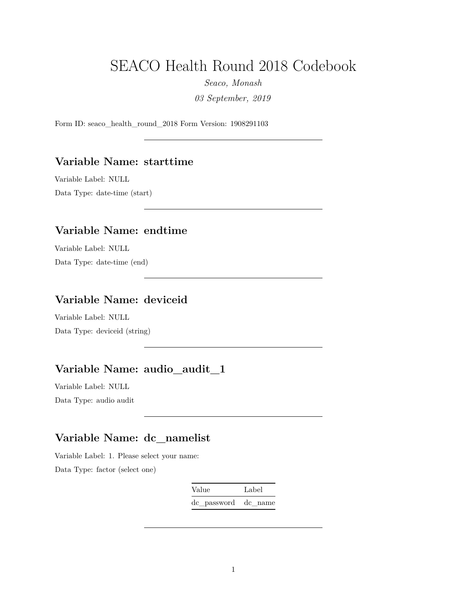# SEACO Health Round 2018 Codebook

*Seaco, Monash*

*03 September, 2019*

Form ID: seaco\_health\_round\_2018 Form Version: 1908291103

#### **Variable Name: starttime**

Variable Label: NULL Data Type: date-time (start)

#### **Variable Name: endtime**

Variable Label: NULL Data Type: date-time (end)

### **Variable Name: deviceid**

Variable Label: NULL Data Type: deviceid (string)

### **Variable Name: audio\_audit\_1**

Variable Label: NULL Data Type: audio audit

# **Variable Name: dc\_namelist**

Variable Label: 1. Please select your name: Data Type: factor (select one)

> Value Label dc\_password dc\_name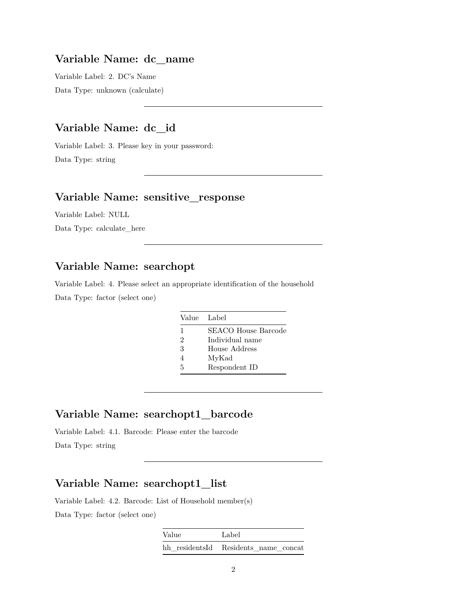#### **Variable Name: dc\_name**

Variable Label: 2. DC's Name Data Type: unknown (calculate)

# **Variable Name: dc\_id**

Variable Label: 3. Please key in your password: Data Type: string

#### **Variable Name: sensitive\_response**

Variable Label: NULL

Data Type: calculate\_here

### **Variable Name: searchopt**

Variable Label: 4. Please select an appropriate identification of the household Data Type: factor (select one)

| Value Label |                     |
|-------------|---------------------|
| 1           | SEACO House Barcode |
| 2           | Individual name     |
| 3           | House Address       |
|             | MyKad               |
| 5           | Respondent ID       |

#### **Variable Name: searchopt1\_barcode**

Variable Label: 4.1. Barcode: Please enter the barcode Data Type: string

#### **Variable Name: searchopt1\_list**

Variable Label: 4.2. Barcode: List of Household member(s) Data Type: factor (select one)

| Value | Label                                |
|-------|--------------------------------------|
|       | hh residentsId Residents name concat |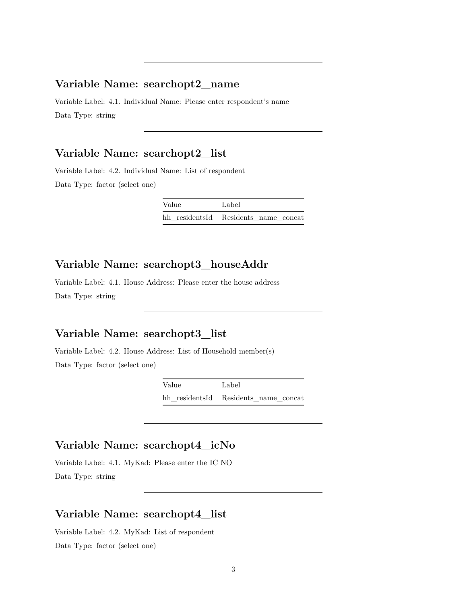#### **Variable Name: searchopt2\_name**

Variable Label: 4.1. Individual Name: Please enter respondent's name Data Type: string

#### **Variable Name: searchopt2\_list**

Variable Label: 4.2. Individual Name: List of respondent Data Type: factor (select one)

| Value | Label                                |
|-------|--------------------------------------|
|       | hh residentsId Residents name concat |

#### **Variable Name: searchopt3\_houseAddr**

Variable Label: 4.1. House Address: Please enter the house address Data Type: string

### **Variable Name: searchopt3\_list**

Variable Label: 4.2. House Address: List of Household member(s) Data Type: factor (select one)

| Value | Label                                |
|-------|--------------------------------------|
|       | hh residentsId Residents name concat |

#### **Variable Name: searchopt4\_icNo**

Variable Label: 4.1. MyKad: Please enter the IC NO Data Type: string

#### **Variable Name: searchopt4\_list**

Variable Label: 4.2. MyKad: List of respondent Data Type: factor (select one)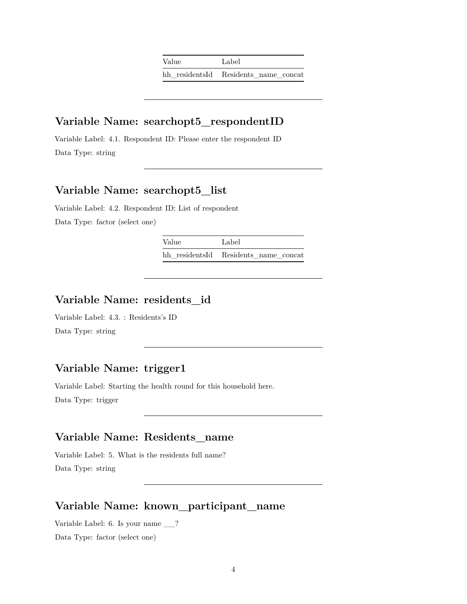| Value | Label                                |
|-------|--------------------------------------|
|       | hh residentsId Residents name concat |

#### **Variable Name: searchopt5\_respondentID**

Variable Label: 4.1. Respondent ID: Please enter the respondent ID Data Type: string

### **Variable Name: searchopt5\_list**

Variable Label: 4.2. Respondent ID: List of respondent Data Type: factor (select one)

> Value Label hh\_residentsId Residents\_name\_concat

# **Variable Name: residents\_id**

Variable Label: 4.3. : Residents's ID Data Type: string

# **Variable Name: trigger1**

Variable Label: Starting the health round for this household here. Data Type: trigger

# **Variable Name: Residents\_name**

Variable Label: 5. What is the residents full name? Data Type: string

#### **Variable Name: known\_participant\_name**

Variable Label: 6. Is your name \_\_? Data Type: factor (select one)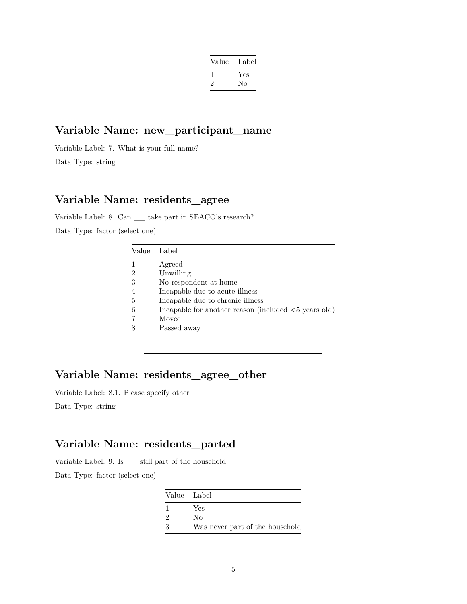| Value | Label |
|-------|-------|
| 1     | Yes   |
| '2    | No    |
|       |       |

#### **Variable Name: new\_participant\_name**

Variable Label: 7. What is your full name? Data Type: string

# **Variable Name: residents\_agree**

Variable Label: 8. Can \_\_ take part in SEACO's research? Data Type: factor (select one)

| Value | Label                                                                 |
|-------|-----------------------------------------------------------------------|
| 1     | Agreed                                                                |
| 2     | Unwilling                                                             |
| 3     | No respondent at home                                                 |
| 4     | Incapable due to acute illness                                        |
| 5     | Incapable due to chronic illness                                      |
| 6     | Incapable for another reason (included $\langle 5 \rangle$ years old) |
| 7     | Moved                                                                 |
| 8     | Passed away                                                           |

# **Variable Name: residents\_agree\_other**

Variable Label: 8.1. Please specify other

Data Type: string

# **Variable Name: residents\_parted**

Variable Label: 9. Is \_\_ still part of the household Data Type: factor (select one)

|                             | Value Label                     |
|-----------------------------|---------------------------------|
|                             | Yes                             |
| $\mathcal{D}_{\mathcal{L}}$ | Nο                              |
| २                           | Was never part of the household |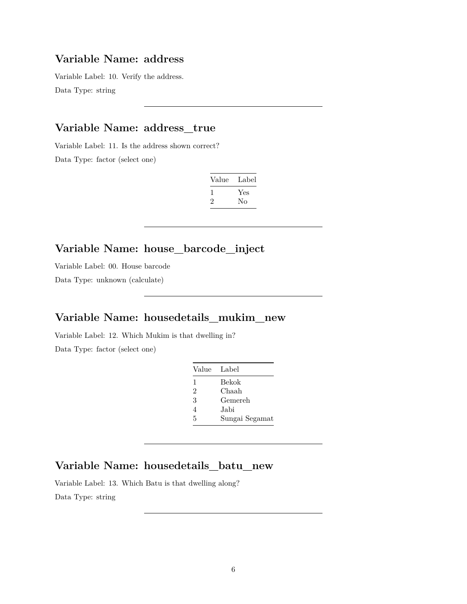#### **Variable Name: address**

Variable Label: 10. Verify the address. Data Type: string

### **Variable Name: address\_true**

Variable Label: 11. Is the address shown correct? Data Type: factor (select one)

| Label |
|-------|
| Yes   |
| Nο    |
|       |

# **Variable Name: house\_barcode\_inject**

Variable Label: 00. House barcode Data Type: unknown (calculate)

### **Variable Name: housedetails\_mukim\_new**

Variable Label: 12. Which Mukim is that dwelling in? Data Type: factor (select one)

| Value Label |                |
|-------------|----------------|
| 1           | Bekok          |
| 2           | Chaah          |
| 3           | Gemereh        |
| 4           | Jabi           |
| 5           | Sungai Segamat |

#### **Variable Name: housedetails\_batu\_new**

Variable Label: 13. Which Batu is that dwelling along? Data Type: string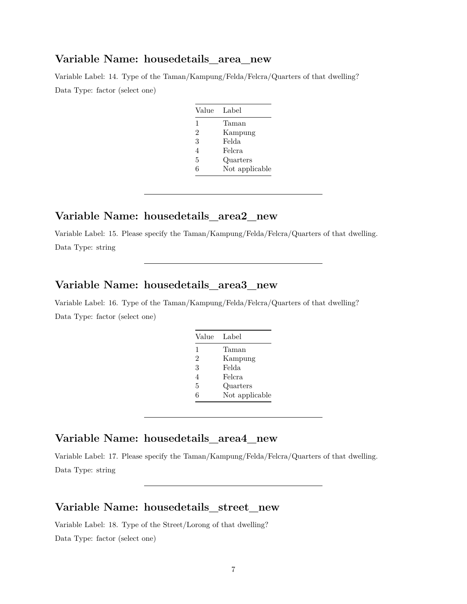#### **Variable Name: housedetails\_area\_new**

Variable Label: 14. Type of the Taman/Kampung/Felda/Felcra/Quarters of that dwelling? Data Type: factor (select one)

| Value          | Label          |
|----------------|----------------|
| 1              | Taman          |
| $\mathfrak{D}$ | Kampung        |
| 3              | Felda          |
| 4              | Felcra         |
| 5              | Quarters       |
| հ              | Not applicable |

#### **Variable Name: housedetails\_area2\_new**

Variable Label: 15. Please specify the Taman/Kampung/Felda/Felcra/Quarters of that dwelling. Data Type: string

#### **Variable Name: housedetails\_area3\_new**

Variable Label: 16. Type of the Taman/Kampung/Felda/Felcra/Quarters of that dwelling? Data Type: factor (select one)

| Value        | Label          |
|--------------|----------------|
| $\mathbf{1}$ | Taman          |
| 2            | Kampung        |
| 3            | Felda          |
| 4            | Felcra         |
| 5            | Quarters       |
| 6            | Not applicable |

#### **Variable Name: housedetails\_area4\_new**

Variable Label: 17. Please specify the Taman/Kampung/Felda/Felcra/Quarters of that dwelling. Data Type: string

#### **Variable Name: housedetails\_street\_new**

Variable Label: 18. Type of the Street/Lorong of that dwelling? Data Type: factor (select one)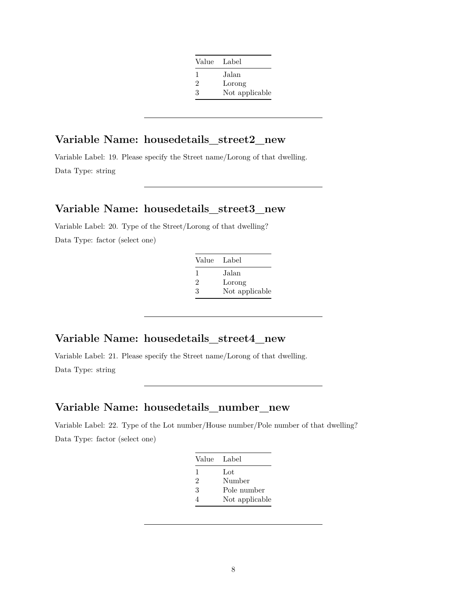| Value | - Label        |
|-------|----------------|
| 1     | Jalan          |
| 2     | Lorong         |
| 3     | Not applicable |

### **Variable Name: housedetails\_street2\_new**

Variable Label: 19. Please specify the Street name/Lorong of that dwelling. Data Type: string

#### **Variable Name: housedetails\_street3\_new**

Variable Label: 20. Type of the Street/Lorong of that dwelling? Data Type: factor (select one)

| Value Label |                |
|-------------|----------------|
| $\perp$     | Jalan          |
| 2           | Lorong         |
| 3           | Not applicable |

#### **Variable Name: housedetails\_street4\_new**

Variable Label: 21. Please specify the Street name/Lorong of that dwelling. Data Type: string

#### **Variable Name: housedetails\_number\_new**

Variable Label: 22. Type of the Lot number/House number/Pole number of that dwelling? Data Type: factor (select one)

| Value Label    |                |
|----------------|----------------|
| ı              | Lot            |
| $\mathfrak{D}$ | Number         |
| 3              | Pole number    |
|                | Not applicable |
|                |                |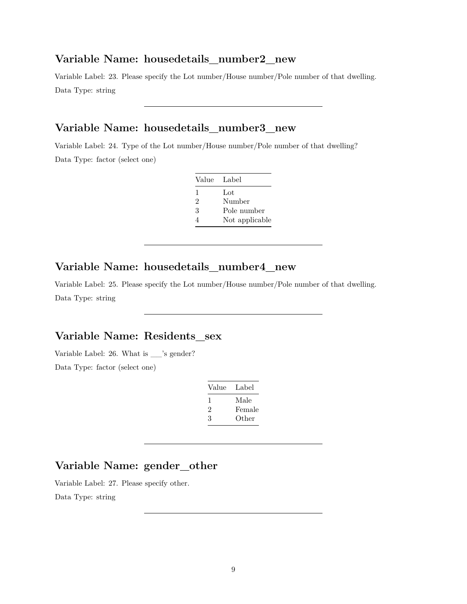#### **Variable Name: housedetails\_number2\_new**

Variable Label: 23. Please specify the Lot number/House number/Pole number of that dwelling. Data Type: string

### **Variable Name: housedetails\_number3\_new**

Variable Label: 24. Type of the Lot number/House number/Pole number of that dwelling? Data Type: factor (select one)

| Value Label                 |                |
|-----------------------------|----------------|
| 1                           | Lot            |
| $\mathcal{D}_{\mathcal{L}}$ | Number         |
| 3                           | Pole number    |
|                             | Not applicable |

#### **Variable Name: housedetails\_number4\_new**

Variable Label: 25. Please specify the Lot number/House number/Pole number of that dwelling. Data Type: string

### **Variable Name: Residents\_sex**

Variable Label: 26. What is \_\_'s gender? Data Type: factor (select one)

| Value | Label  |
|-------|--------|
| ı.    | Male   |
| '2    | Female |
| 3     | Other  |

# **Variable Name: gender\_other**

Variable Label: 27. Please specify other.

Data Type: string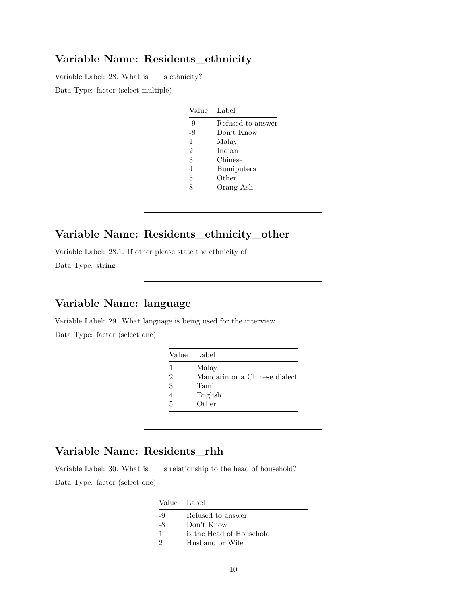#### **Variable Name: Residents\_ethnicity**

Variable Label: 28. What is \_\_'s ethnicity?

Data Type: factor (select multiple)

| Value | Label             |
|-------|-------------------|
| -9    | Refused to answer |
| -8    | Don't Know        |
| 1     | Malay             |
| 2     | Indian            |
| 3     | Chinese           |
| 4     | Bumiputera        |
| 5     | Other             |
| 8     | Orang Asli        |

#### **Variable Name: Residents\_ethnicity\_other**

Variable Label: 28.1. If other please state the ethnicity of \_\_ Data Type: string

# **Variable Name: language**

Variable Label: 29. What language is being used for the interview Data Type: factor (select one)

|                | Value Label                   |
|----------------|-------------------------------|
| 1              | Malay                         |
| $\overline{2}$ | Mandarin or a Chinese dialect |
| 3              | Tamil                         |
|                | English                       |
| 5              | Other                         |
|                |                               |

# **Variable Name: Residents\_rhh**

Variable Label: 30. What is \_\_'s relationship to the head of household? Data Type: factor (select one)

|    | Value Label              |
|----|--------------------------|
| -9 | Refused to answer        |
| -8 | Don't Know               |
| 1  | is the Head of Household |
|    | Husband or Wife          |
|    |                          |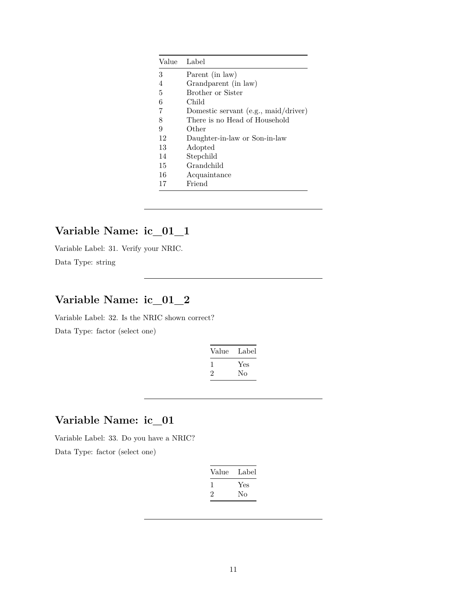| Value | Label                                  |
|-------|----------------------------------------|
| 3     | Parent (in law)                        |
| 4     | Grandparent (in law)                   |
| 5     | Brother or Sister                      |
| 6     | Child                                  |
| 7     | Domestic servant $(e.g., mail/driver)$ |
| 8     | There is no Head of Household          |
| 9     | Other                                  |
| 12    | Daughter-in-law or Son-in-law          |
| 13    | Adopted                                |
| 14    | Stepchild                              |
| 15    | Grandchild                             |
| 16    | Acquaintance                           |
| 17    | Friend                                 |

### **Variable Name: ic\_01\_1**

Variable Label: 31. Verify your NRIC. Data Type: string

# **Variable Name: ic\_01\_2**

Variable Label: 32. Is the NRIC shown correct? Data Type: factor (select one)

| Value | Label |
|-------|-------|
|       | Yes   |
| ۰,    | Nο    |

### **Variable Name: ic\_01**

Variable Label: 33. Do you have a NRIC?

| Value | Label |
|-------|-------|
|       | Yes   |
|       | Nο    |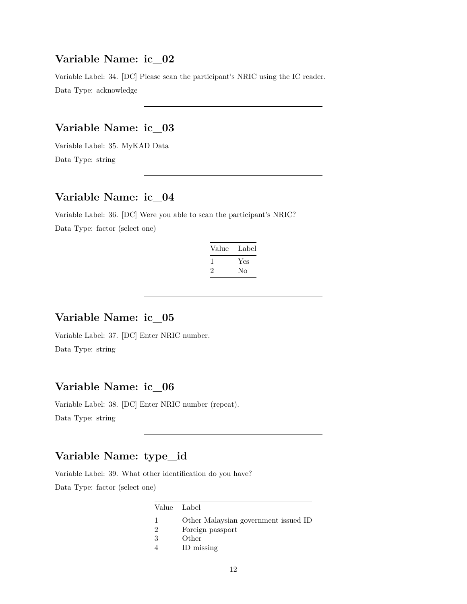#### **Variable Name: ic\_02**

Variable Label: 34. [DC] Please scan the participant's NRIC using the IC reader. Data Type: acknowledge

### **Variable Name: ic\_03**

Variable Label: 35. MyKAD Data Data Type: string

### **Variable Name: ic\_04**

Variable Label: 36. [DC] Were you able to scan the participant's NRIC? Data Type: factor (select one)

| Label     |
|-----------|
| Yes<br>Nο |
|           |

### **Variable Name: ic\_05**

Variable Label: 37. [DC] Enter NRIC number. Data Type: string

#### **Variable Name: ic\_06**

Variable Label: 38. [DC] Enter NRIC number (repeat). Data Type: string

# **Variable Name: type\_id**

Variable Label: 39. What other identification do you have? Data Type: factor (select one)

| Value Label |                                      |
|-------------|--------------------------------------|
|             | Other Malaysian government issued ID |
| 2           | Foreign passport                     |
| -3          | Other                                |
|             | ID missing                           |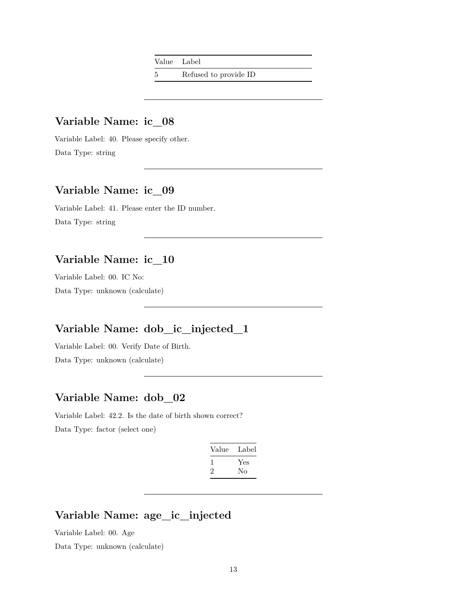Value Label

5 Refused to provide ID

#### **Variable Name: ic\_08**

Variable Label: 40. Please specify other. Data Type: string

### **Variable Name: ic\_09**

Variable Label: 41. Please enter the ID number. Data Type: string

### **Variable Name: ic\_10**

Variable Label: 00. IC No: Data Type: unknown (calculate)

### **Variable Name: dob\_ic\_injected\_1**

Variable Label: 00. Verify Date of Birth. Data Type: unknown (calculate)

# **Variable Name: dob\_02**

Variable Label: 42.2. Is the date of birth shown correct? Data Type: factor (select one)

| Value | Label |
|-------|-------|
|       | Yes   |
|       | Nο    |
|       |       |

# **Variable Name: age\_ic\_injected**

Variable Label: 00. Age

Data Type: unknown (calculate)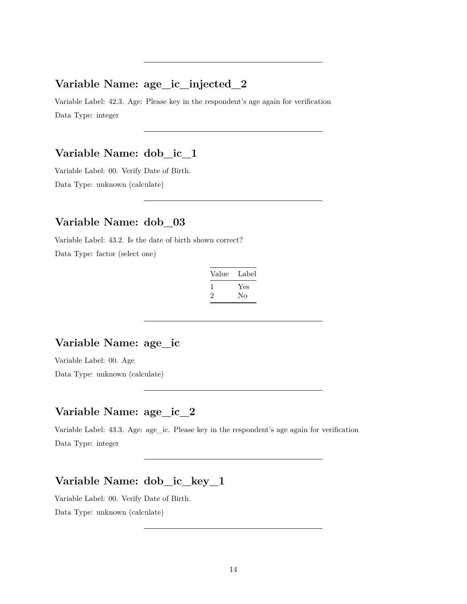#### **Variable Name: age\_ic\_injected\_2**

Variable Label: 42.3. Age: Please key in the respondent's age again for verification Data Type: integer

#### **Variable Name: dob\_ic\_1**

Variable Label: 00. Verify Date of Birth. Data Type: unknown (calculate)

#### **Variable Name: dob\_03**

Variable Label: 43.2. Is the date of birth shown correct? Data Type: factor (select one)

| Value | Label |
|-------|-------|
|       | Yes   |
| ۰,    | Nο    |

#### **Variable Name: age\_ic**

Variable Label: 00. Age

Data Type: unknown (calculate)

# **Variable Name: age\_ic\_2**

Variable Label: 43.3. Age: age\_ic. Please key in the respondent's age again for verification Data Type: integer

### **Variable Name: dob\_ic\_key\_1**

Variable Label: 00. Verify Date of Birth. Data Type: unknown (calculate)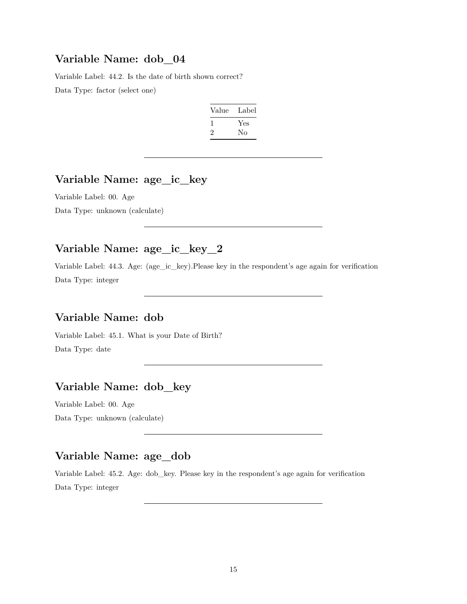#### **Variable Name: dob\_04**

Variable Label: 44.2. Is the date of birth shown correct? Data Type: factor (select one)

| Label |
|-------|
| Yes   |
| Nο    |
|       |

#### **Variable Name: age\_ic\_key**

Variable Label: 00. Age Data Type: unknown (calculate)

# **Variable Name: age\_ic\_key\_2**

Variable Label: 44.3. Age: (age\_ic\_key).Please key in the respondent's age again for verification Data Type: integer

# **Variable Name: dob**

Variable Label: 45.1. What is your Date of Birth? Data Type: date

# **Variable Name: dob\_key**

Variable Label: 00. Age Data Type: unknown (calculate)

#### **Variable Name: age\_dob**

Variable Label: 45.2. Age: dob\_key. Please key in the respondent's age again for verification Data Type: integer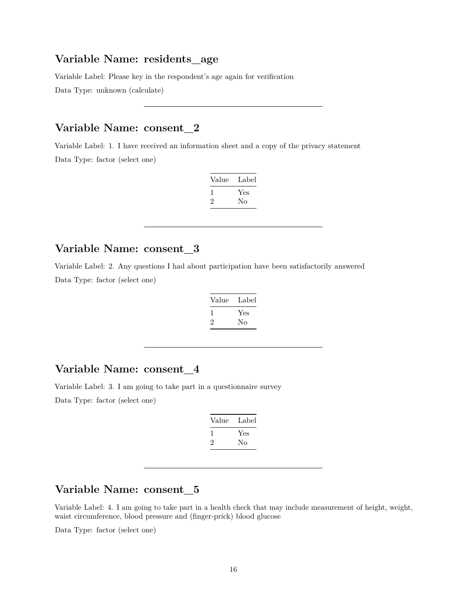#### **Variable Name: residents\_age**

Variable Label: Please key in the respondent's age again for verification

Data Type: unknown (calculate)

#### **Variable Name: consent\_2**

Variable Label: 1. I have received an information sheet and a copy of the privacy statement Data Type: factor (select one)

| Value   | Label |
|---------|-------|
| ı       | Yes   |
| $\cdot$ | No    |
|         |       |

### **Variable Name: consent\_3**

Variable Label: 2. Any questions I had about participation have been satisfactorily answered Data Type: factor (select one)

| Value | Label |
|-------|-------|
|       | Yes   |
|       | Nο    |

#### **Variable Name: consent\_4**

Variable Label: 3. I am going to take part in a questionnaire survey Data Type: factor (select one)

| Value | Label |
|-------|-------|
|       | Yes   |
| '2    | Nο    |

### **Variable Name: consent\_5**

Variable Label: 4. I am going to take part in a health check that may include measurement of height, weight, waist circumference, blood pressure and (finger-prick) blood glucose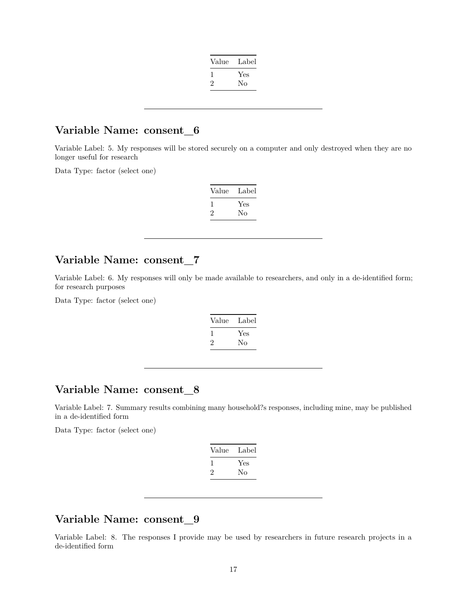| Value | Label |
|-------|-------|
|       | Yes   |
| 2     | No    |
|       |       |

#### **Variable Name: consent\_6**

Variable Label: 5. My responses will be stored securely on a computer and only destroyed when they are no longer useful for research

Data Type: factor (select one)

| Value | Label |
|-------|-------|
|       | Yes   |
| ۰,    | Nο    |

#### **Variable Name: consent\_7**

Variable Label: 6. My responses will only be made available to researchers, and only in a de-identified form; for research purposes

Data Type: factor (select one)

| Value | Label |
|-------|-------|
|       | Yes   |
| ۰,    | Nο    |

#### **Variable Name: consent\_8**

Variable Label: 7. Summary results combining many household?s responses, including mine, may be published in a de-identified form

Data Type: factor (select one)

| Value | Label |
|-------|-------|
| 1     | Yes   |
| '2    | Nο    |
|       |       |

## **Variable Name: consent\_9**

Variable Label: 8. The responses I provide may be used by researchers in future research projects in a de-identified form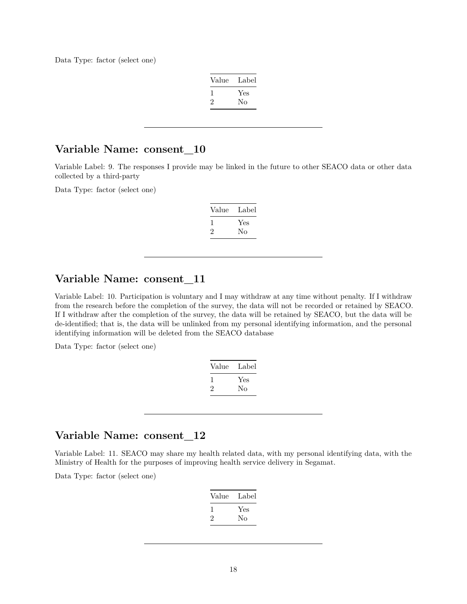Data Type: factor (select one)

| Label |
|-------|
|       |
|       |
|       |

#### **Variable Name: consent\_10**

Variable Label: 9. The responses I provide may be linked in the future to other SEACO data or other data collected by a third-party

Data Type: factor (select one)

| Value   | Label |
|---------|-------|
|         | Yes   |
| $\cdot$ | Nο    |

# **Variable Name: consent\_11**

Variable Label: 10. Participation is voluntary and I may withdraw at any time without penalty. If I withdraw from the research before the completion of the survey, the data will not be recorded or retained by SEACO. If I withdraw after the completion of the survey, the data will be retained by SEACO, but the data will be de-identified; that is, the data will be unlinked from my personal identifying information, and the personal identifying information will be deleted from the SEACO database

Data Type: factor (select one)

| Value | Label |
|-------|-------|
|       | Yes   |
| ۰,    | No    |

#### **Variable Name: consent\_12**

Variable Label: 11. SEACO may share my health related data, with my personal identifying data, with the Ministry of Health for the purposes of improving health service delivery in Segamat.

| Value | Label |
|-------|-------|
|       | Yes   |
| ۰,    | Nο    |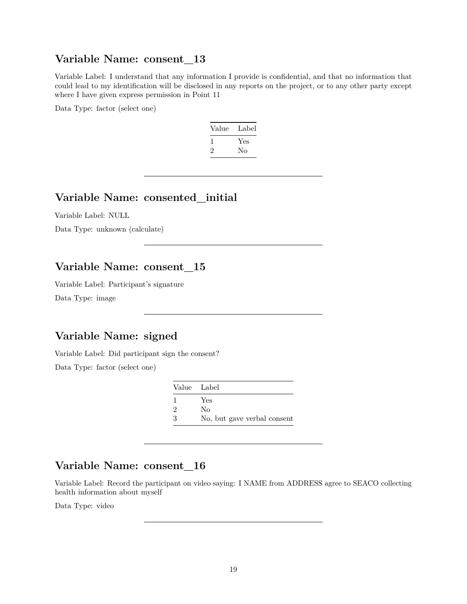#### **Variable Name: consent\_13**

Variable Label: I understand that any information I provide is confidential, and that no information that could lead to my identification will be disclosed in any reports on the project, or to any other party except where I have given express permission in Point 11

Data Type: factor (select one)

| Value | Label |
|-------|-------|
| L     | Yes   |
| 2     | Nο    |

### **Variable Name: consented\_initial**

Variable Label: NULL

Data Type: unknown (calculate)

### **Variable Name: consent\_15**

Variable Label: Participant's signature

Data Type: image

# **Variable Name: signed**

Variable Label: Did participant sign the consent?

Data Type: factor (select one)

| Value Label    |                             |
|----------------|-----------------------------|
|                | Yes                         |
| $\mathfrak{D}$ | Nο                          |
| 3              | No, but gave verbal consent |

#### **Variable Name: consent\_16**

Variable Label: Record the participant on video saying: I NAME from ADDRESS agree to SEACO collecting health information about myself

Data Type: video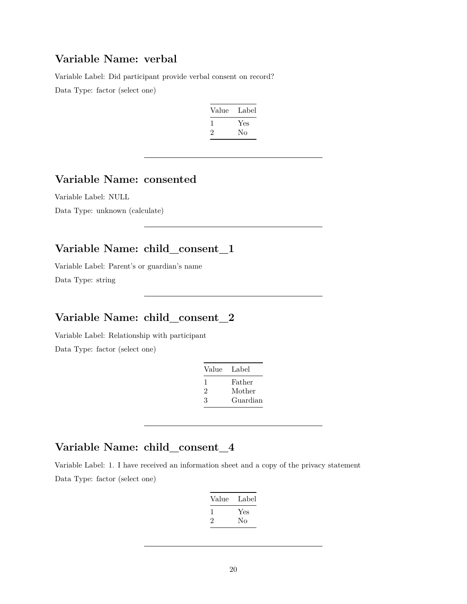## **Variable Name: verbal**

Variable Label: Did participant provide verbal consent on record?

Data Type: factor (select one)

| Value        | Label |
|--------------|-------|
|              | Yes   |
| $\mathbf{2}$ | Nο    |

## **Variable Name: consented**

Variable Label: NULL Data Type: unknown (calculate)

# **Variable Name: child\_consent\_1**

Variable Label: Parent's or guardian's name Data Type: string

# **Variable Name: child\_consent\_2**

Variable Label: Relationship with participant Data Type: factor (select one)

| Value | Label    |
|-------|----------|
| ı     | Father   |
| 2     | Mother   |
| З     | Guardian |

# **Variable Name: child\_consent\_4**

Variable Label: 1. I have received an information sheet and a copy of the privacy statement Data Type: factor (select one)

| Value        | Label |
|--------------|-------|
| $\mathbf{I}$ | Yes   |
| ۰,           | Nο    |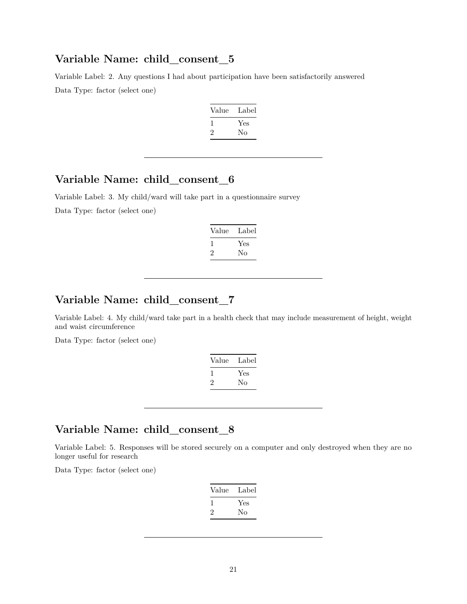Variable Label: 2. Any questions I had about participation have been satisfactorily answered Data Type: factor (select one)

| Value        | Label |
|--------------|-------|
| <sup>1</sup> | Yes   |
| '2           | Nο    |

#### **Variable Name: child\_consent\_6**

Variable Label: 3. My child/ward will take part in a questionnaire survey Data Type: factor (select one)

| Value        | Label |
|--------------|-------|
| $\mathbf{I}$ | Yes   |
| $\cdot$      | Nο    |

#### **Variable Name: child\_consent\_7**

Variable Label: 4. My child/ward take part in a health check that may include measurement of height, weight and waist circumference

Data Type: factor (select one)

| Label |
|-------|
| Yes   |
| Nο    |
|       |

#### **Variable Name: child\_consent\_8**

Variable Label: 5. Responses will be stored securely on a computer and only destroyed when they are no longer useful for research

| Value | Label |
|-------|-------|
|       | Yes   |
| '2    | Nο    |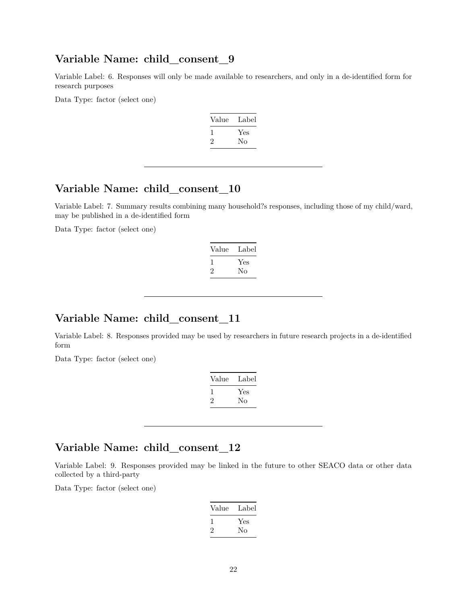Variable Label: 6. Responses will only be made available to researchers, and only in a de-identified form for research purposes

Data Type: factor (select one)

| Value | Label |
|-------|-------|
|       | Yes   |
| ۰,    | Nο    |

#### **Variable Name: child\_consent\_10**

Variable Label: 7. Summary results combining many household?s responses, including those of my child/ward, may be published in a de-identified form

Data Type: factor (select one)

| Label |
|-------|
| Yes   |
| Nο    |
|       |

#### **Variable Name: child\_consent\_11**

Variable Label: 8. Responses provided may be used by researchers in future research projects in a de-identified form

Data Type: factor (select one)

| Value   | Label |
|---------|-------|
|         | Yes   |
| $\cdot$ | Nο    |

#### **Variable Name: child\_consent\_12**

Variable Label: 9. Responses provided may be linked in the future to other SEACO data or other data collected by a third-party

| Value | Label |
|-------|-------|
|       | Yes   |
| ۰,    | Nο    |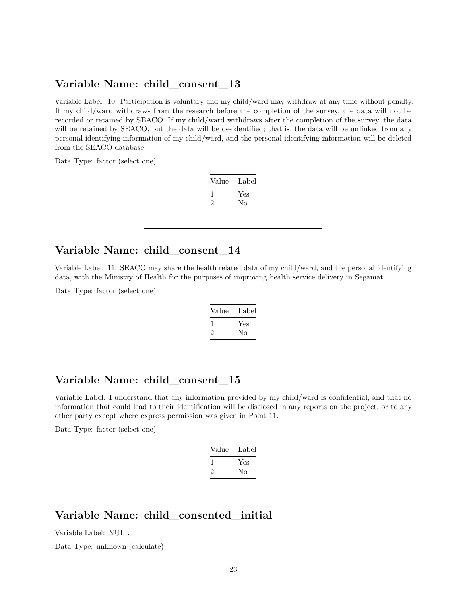Variable Label: 10. Participation is voluntary and my child/ward may withdraw at any time without penalty. If my child/ward withdraws from the research before the completion of the survey, the data will not be recorded or retained by SEACO. If my child/ward withdraws after the completion of the survey, the data will be retained by SEACO, but the data will be de-identified; that is, the data will be unlinked from any personal identifying information of my child/ward, and the personal identifying information will be deleted from the SEACO database.

Data Type: factor (select one)

| Label |
|-------|
| Yes   |
| Nο    |
|       |

#### **Variable Name: child\_consent\_14**

Variable Label: 11. SEACO may share the health related data of my child/ward, and the personal identifying data, with the Ministry of Health for the purposes of improving health service delivery in Segamat.

Data Type: factor (select one)

| Value | Label |
|-------|-------|
|       | Yes   |
| '2    | No    |
|       |       |

#### **Variable Name: child\_consent\_15**

Variable Label: I understand that any information provided by my child/ward is confidential, and that no information that could lead to their identification will be disclosed in any reports on the project, or to any other party except where express permission was given in Point 11.

Data Type: factor (select one)

| Value | Label |
|-------|-------|
|       | Yes   |
| '2    | Nο    |
|       |       |

# **Variable Name: child\_consented\_initial**

Variable Label: NULL

Data Type: unknown (calculate)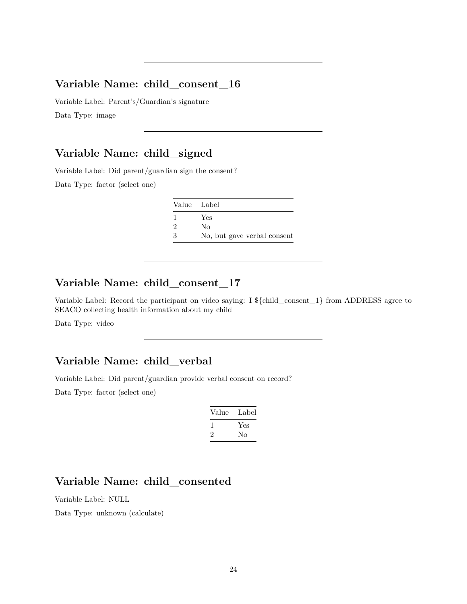Variable Label: Parent's/Guardian's signature Data Type: image

### **Variable Name: child\_signed**

Variable Label: Did parent/guardian sign the consent?

Data Type: factor (select one)

| Value Label   |                             |
|---------------|-----------------------------|
|               | Yes                         |
| $\mathcal{D}$ | Nο                          |
| $\mathcal{R}$ | No, but gave verbal consent |

### **Variable Name: child\_consent\_17**

Variable Label: Record the participant on video saying: I \${child\_consent\_1} from ADDRESS agree to SEACO collecting health information about my child

Data Type: video

#### **Variable Name: child\_verbal**

Variable Label: Did parent/guardian provide verbal consent on record?

Data Type: factor (select one)

| Value | Label |
|-------|-------|
|       | Yes   |
| ۰,    | Nο    |

# **Variable Name: child\_consented**

Variable Label: NULL

Data Type: unknown (calculate)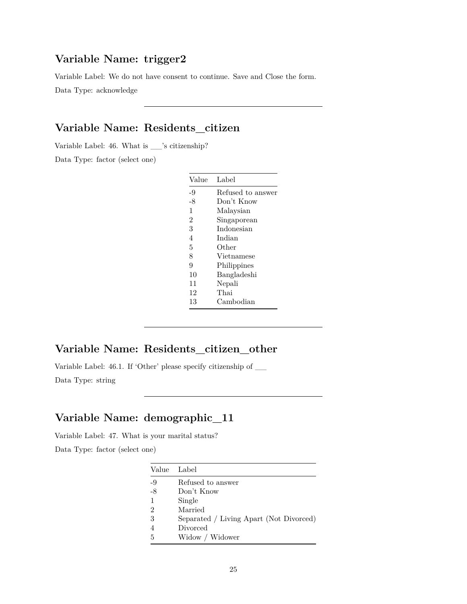### **Variable Name: trigger2**

Variable Label: We do not have consent to continue. Save and Close the form.

Data Type: acknowledge

# **Variable Name: Residents\_citizen**

Variable Label: 46. What is \_\_'s citizenship?

Data Type: factor (select one)

| Value          | Label             |
|----------------|-------------------|
| -9             | Refused to answer |
| -8             | Don't Know        |
| $\mathbf{1}$   | Malaysian         |
| $\overline{2}$ | Singaporean       |
| 3              | Indonesian        |
| 4              | Indian            |
| 5              | Other             |
| 8              | Vietnamese        |
| 9              | Philippines       |
| 10             | Bangladeshi       |
| 11             | Nepali            |
| 12             | Thai              |
| 13             | Cambodian         |

### **Variable Name: Residents\_citizen\_other**

Variable Label: 46.1. If 'Other' please specify citizenship of \_\_

Data Type: string

# **Variable Name: demographic\_11**

Variable Label: 47. What is your marital status?

| Value | Label                                   |
|-------|-----------------------------------------|
| -9    | Refused to answer                       |
| $-8$  | Don't Know                              |
| 1     | Single                                  |
| 2     | Married                                 |
| 3     | Separated / Living Apart (Not Divorced) |
|       | Divorced                                |
| 5     | Widow / Widower                         |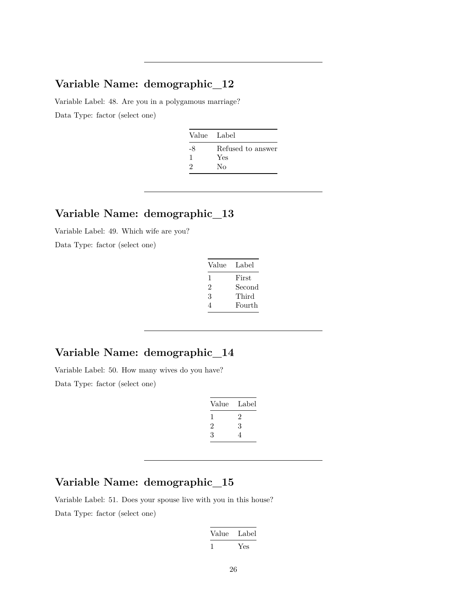# **Variable Name: demographic\_12**

Variable Label: 48. Are you in a polygamous marriage? Data Type: factor (select one)

| Value Label |                   |
|-------------|-------------------|
| -8          | Refused to answer |
| 1           | Yes               |
| $\Omega$    | Nο                |

#### **Variable Name: demographic\_13**

Variable Label: 49. Which wife are you?

Data Type: factor (select one)

| Value | Label  |
|-------|--------|
| ı     | First  |
| 2     | Second |
| 3     | Third  |
|       | Fourth |

### **Variable Name: demographic\_14**

Variable Label: 50. How many wives do you have? Data Type: factor (select one)

| Value | Label |
|-------|-------|
| I.    | '2    |
| 2     | 3     |
| 3     | 4     |
|       |       |

#### **Variable Name: demographic\_15**

Variable Label: 51. Does your spouse live with you in this house? Data Type: factor (select one)

| Value | Label |
|-------|-------|
|       | Yes   |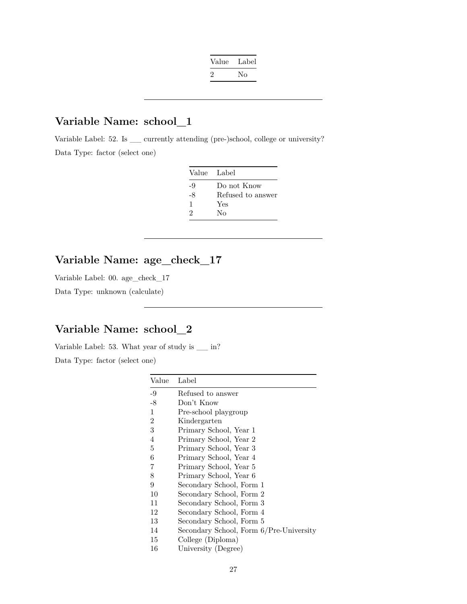| Value   | Label |
|---------|-------|
| $\cdot$ | Nο    |

### **Variable Name: school\_1**

Variable Label: 52. Is \_\_ currently attending (pre-)school, college or university? Data Type: factor (select one)

| Value Label |                   |
|-------------|-------------------|
| -9          | Do not Know       |
| -8          | Refused to answer |
| 1           | Yes               |
| 9           | Nο                |

# **Variable Name: age\_check\_17**

Variable Label: 00. age\_check\_17

Data Type: unknown (calculate)

## **Variable Name: school\_2**

Variable Label: 53. What year of study is \_\_ in?

| Value | Label                                   |
|-------|-----------------------------------------|
| -9    | Refused to answer                       |
| $-8$  | Don't Know                              |
| 1     | Pre-school playgroup                    |
| 2     | Kindergarten                            |
| 3     | Primary School, Year 1                  |
| 4     | Primary School, Year 2                  |
| 5     | Primary School, Year 3                  |
| 6     | Primary School, Year 4                  |
| 7     | Primary School, Year 5                  |
| 8     | Primary School, Year 6                  |
| 9     | Secondary School, Form 1                |
| 10    | Secondary School, Form 2                |
| 11    | Secondary School, Form 3                |
| 12    | Secondary School, Form 4                |
| 13    | Secondary School, Form 5                |
| 14    | Secondary School, Form 6/Pre-University |
| 15    | College (Diploma)                       |
| 16    | University (Degree)                     |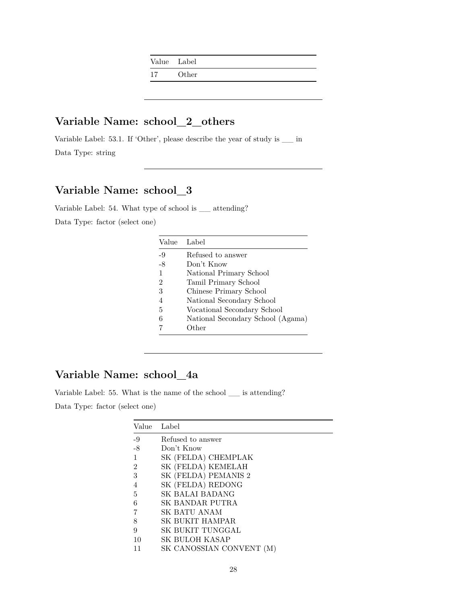| Value Label |       |  |
|-------------|-------|--|
| 17          | Other |  |

# **Variable Name: school\_2\_others**

Variable Label: 53.1. If 'Other', please describe the year of study is \_\_ in Data Type: string

# **Variable Name: school\_3**

Variable Label: 54. What type of school is \_\_ attending?

Data Type: factor (select one)

| Value          | Label                             |
|----------------|-----------------------------------|
| -9             | Refused to answer                 |
| $-8$           | Don't Know                        |
| 1              | National Primary School           |
| $\overline{2}$ | Tamil Primary School              |
| 3              | Chinese Primary School            |
|                | National Secondary School         |
| 5              | Vocational Secondary School       |
| 6              | National Secondary School (Agama) |
|                | Other                             |

### **Variable Name: school\_4a**

Variable Label: 55. What is the name of the school \_\_ is attending?

| Value | Label                |
|-------|----------------------|
| $-9$  | Refused to answer    |
| -8    | Don't Know           |
|       | SK (FELDA) CHEMPLAK  |
| 2     | SK (FELDA) KEMELAH   |
| 3     | SK (FELDA) PEMANIS 2 |
| 4     | SK (FELDA) REDONG    |
| 5     | SK BALAI BADANG      |
| 6     | SK BANDAR PUTRA      |
| 7     | SK BATU ANAM         |
| 8     | SK BUKIT HAMPAR      |
| 9     | SK BUKIT TUNGGAL     |
| 10    | SK BULOH KASAP       |
|       | SK CANOSSIAN CONVENT |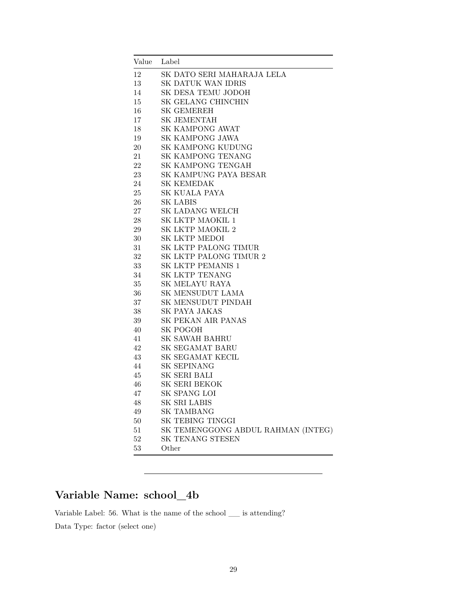| Value  | Label                              |
|--------|------------------------------------|
| 12     | SK DATO SERI MAHARAJA LELA         |
| 13     | SK DATUK WAN IDRIS                 |
| 14     | SK DESA TEMU JODOH                 |
| 15     | SK GELANG CHINCHIN                 |
| 16     | <b>SK GEMEREH</b>                  |
| 17     | <b>SK JEMENTAH</b>                 |
| 18     | <b>SK KAMPONG AWAT</b>             |
| 19     | SK KAMPONG JAWA                    |
| 20     | SK KAMPONG KUDUNG                  |
| 21     | SK KAMPONG TENANG                  |
| 22     | SK KAMPONG TENGAH                  |
| 23     | SK KAMPUNG PAYA BESAR              |
| 24     | SK KEMEDAK                         |
| 25     | SK KUALA PAYA                      |
| 26     | <b>SK LABIS</b>                    |
| 27     | <b>SK LADANG WELCH</b>             |
| 28     | SK LKTP MAOKIL 1                   |
| 29     | SK LKTP MAOKIL 2                   |
| 30     | SK LKTP MEDOI                      |
| 31     | SK LKTP PALONG TIMUR               |
| 32     | SK LKTP PALONG TIMUR 2             |
| 33     | SK LKTP PEMANIS 1                  |
| 34     | SK LKTP TENANG                     |
| $35\,$ | SK MELAYU RAYA                     |
| 36     | SK MENSUDUT LAMA                   |
| 37     | SK MENSUDUT PINDAH                 |
| 38     | SK PAYA JAKAS                      |
| 39     | SK PEKAN AIR PANAS                 |
| 40     | SK POGOH                           |
| 41     | <b>SK SAWAH BAHRU</b>              |
| 42     | SK SEGAMAT BARU                    |
| 43     | SK SEGAMAT KECIL                   |
| 44     | <b>SK SEPINANG</b>                 |
| 45     | SK SERI BALI                       |
| 46     | SK SERI BEKOK                      |
| 47     | SK SPANG LOI                       |
| 48     | SK SRI LABIS                       |
| 49     | <b>SK TAMBANG</b>                  |
| $50\,$ | SK TEBING TINGGI                   |
| 51     | SK TEMENGGONG ABDUL RAHMAN (INTEG) |
| $52\,$ | SK TENANG STESEN                   |
| $53\,$ | Other                              |

# **Variable Name: school\_4b**

Variable Label: 56. What is the name of the school \_\_ is attending? Data Type: factor (select one)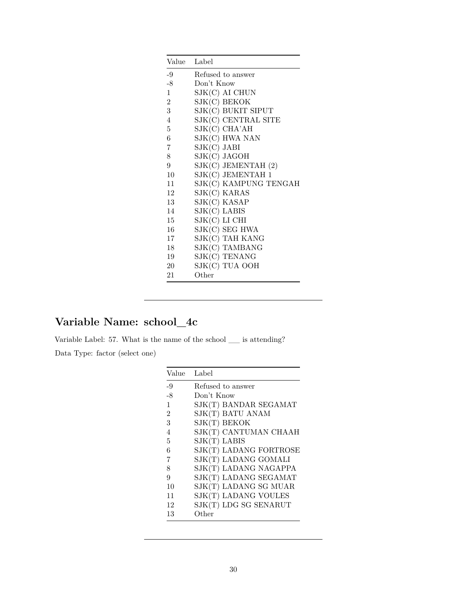| Value Label    |                         |
|----------------|-------------------------|
| -9             | Refused to answer       |
| $-8$           | Don't Know              |
| $\mathbf{1}$   | SJK(C) AI CHUN          |
| $\overline{2}$ | SJK(C) BEKOK            |
| $\overline{3}$ | SJK(C) BUKIT SIPUT      |
| 4              | SJK(C) CENTRAL SITE     |
| 5              | SJK(C) CHA'AH           |
| 6              | SJK(C) HWA NAN          |
| 7              | $SIK(C)$ JABI           |
| 8              | SJK(C) JAGOH            |
| 9              | $SIK(C)$ JEMENTAH $(2)$ |
| $10^{\circ}$   | SJK(C) JEMENTAH 1       |
| 11             | SJK(C) KAMPUNG TENGAH   |
| 12             | SJK(C) KARAS            |
| 13             | SJK(C) KASAP            |
| 14             | $SIK(C)$ LABIS          |
| 15             | SJK(C) LI CHI           |
| 16             | SJK(C) SEG HWA          |
| 17             | SJK(C) TAH KANG         |
| 18             | SJK(C) TAMBANG          |
| 19             | SJK(C) TENANG           |
| 20             | SJK(C) TUA OOH          |
| 21             | Other                   |

# **Variable Name: school\_4c**

Variable Label: 57. What is the name of the school \_\_ is attending?

| Value          | Label                  |
|----------------|------------------------|
| -9             | Refused to answer      |
| $-8$           | Don't Know             |
| 1              | SJK(T) BANDAR SEGAMAT  |
| $\overline{2}$ | SJK(T) BATU ANAM       |
| 3              | SJK(T) BEKOK           |
| 4              | SJK(T) CANTUMAN CHAAH  |
| 5              | $SIK(T)$ LABIS         |
| 6              | SJK(T) LADANG FORTROSE |
| 7              | SJK(T) LADANG GOMALI   |
| 8              | SJK(T) LADANG NAGAPPA  |
| 9              | SJK(T) LADANG SEGAMAT  |
| 10             | SJK(T) LADANG SG MUAR  |
| 11             | SJK(T) LADANG VOULES   |
| 12             | SJK(T) LDG SG SENARUT  |
| 13             | Other                  |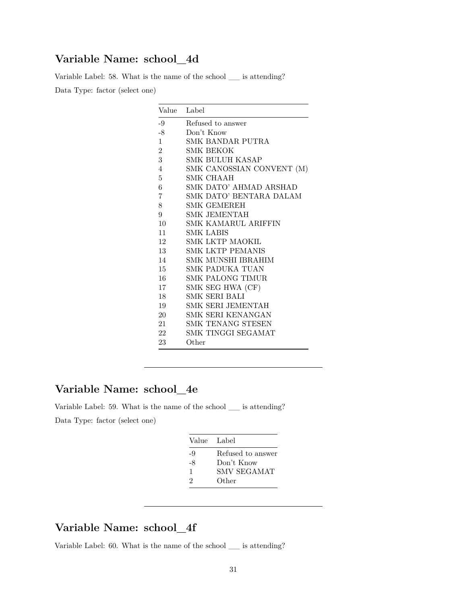### **Variable Name: school\_4d**

Variable Label: 58. What is the name of the school \_\_ is attending?

Data Type: factor (select one)

| Value          | Label                     |
|----------------|---------------------------|
| -9             | Refused to answer         |
| $-8$           | Don't Know                |
| $\mathbf{1}$   | SMK BANDAR PUTRA          |
| $\overline{2}$ | SMK BEKOK                 |
| $\overline{3}$ | SMK BULUH KASAP           |
| $\overline{4}$ | SMK CANOSSIAN CONVENT (M) |
| 5              | SMK CHAAH                 |
| 6              | SMK DATO' AHMAD ARSHAD    |
| 7              | SMK DATO' BENTARA DALAM   |
| 8              | <b>SMK GEMEREH</b>        |
| 9              | <b>SMK JEMENTAH</b>       |
| 10             | SMK KAMARUL ARIFFIN       |
| 11             | SMK LABIS                 |
| 12             | SMK LKTP MAOKIL           |
| 13             | <b>SMK LKTP PEMANIS</b>   |
| 14             | SMK MUNSHI IBRAHIM        |
| 15             | SMK PADUKA TUAN           |
| 16             | SMK PALONG TIMUR          |
| 17             | SMK SEG HWA (CF)          |
| 18             | SMK SERI BALI             |
| 19             | SMK SERI JEMENTAH         |
| 20             | SMK SERI KENANGAN         |
| 21             | <b>SMK TENANG STESEN</b>  |
| 22             | SMK TINGGI SEGAMAT        |
| 23             | Other                     |

### **Variable Name: school\_4e**

Variable Label: 59. What is the name of the school \_\_ is attending? Data Type: factor (select one)

| Value Label                 |                   |
|-----------------------------|-------------------|
| $-9$                        | Refused to answer |
| -8                          | Don't Know        |
| 1                           | SMV SEGAMAT       |
| $\mathcal{D}_{\mathcal{L}}$ | Other             |
|                             |                   |

## **Variable Name: school\_4f**

Variable Label: 60. What is the name of the school \_\_ is attending?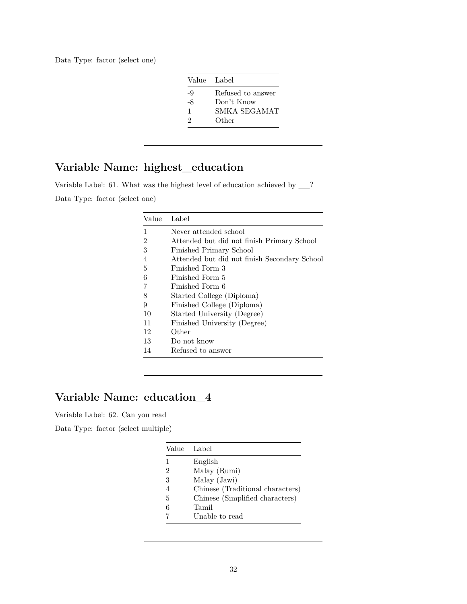Data Type: factor (select one)

|    | Value Label       |
|----|-------------------|
| -9 | Refused to answer |
| -8 | Don't Know        |
| 1  | SMKA SEGAMAT      |
| 9  | Other             |
|    |                   |

### **Variable Name: highest\_education**

Variable Label: 61. What was the highest level of education achieved by \_\_? Data Type: factor (select one)

| Value          | Label                                        |
|----------------|----------------------------------------------|
| 1              | Never attended school                        |
| $\overline{2}$ | Attended but did not finish Primary School   |
| 3              | Finished Primary School                      |
| 4              | Attended but did not finish Secondary School |
| 5              | Finished Form 3                              |
| 6              | Finished Form 5                              |
| 7              | Finished Form 6                              |
| 8              | Started College (Diploma)                    |
| 9              | Finished College (Diploma)                   |
| 10             | Started University (Degree)                  |
| 11             | Finished University (Degree)                 |
| 12             | Other                                        |
| 13             | Do not know                                  |
| 14             | Refused to answer                            |

# **Variable Name: education\_4**

Variable Label: 62. Can you read

Data Type: factor (select multiple)

|   | Value Label                      |
|---|----------------------------------|
| 1 | English                          |
| 2 | Malay (Rumi)                     |
| 3 | Malay (Jawi)                     |
| 4 | Chinese (Traditional characters) |
| 5 | Chinese (Simplified characters)  |
| 6 | Tamil                            |
|   | Unable to read                   |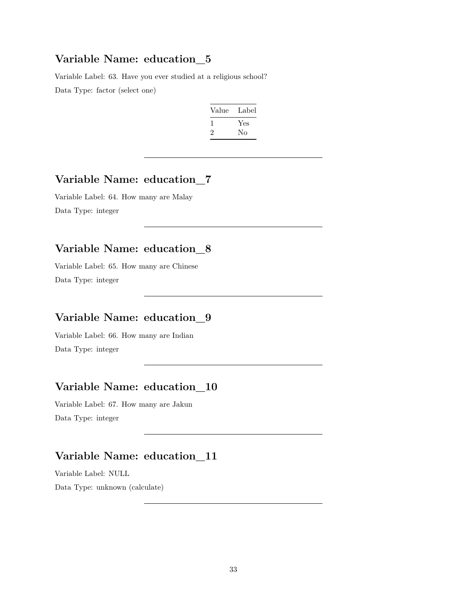#### **Variable Name: education\_5**

Variable Label: 63. Have you ever studied at a religious school? Data Type: factor (select one)

| Value | Label |
|-------|-------|
|       | Yes   |
| '2    | Nο    |

### **Variable Name: education\_7**

Variable Label: 64. How many are Malay Data Type: integer

# **Variable Name: education\_8**

Variable Label: 65. How many are Chinese Data Type: integer

# **Variable Name: education\_9**

Variable Label: 66. How many are Indian Data Type: integer

### **Variable Name: education\_10**

Variable Label: 67. How many are Jakun Data Type: integer

# **Variable Name: education\_11**

Variable Label: NULL

Data Type: unknown (calculate)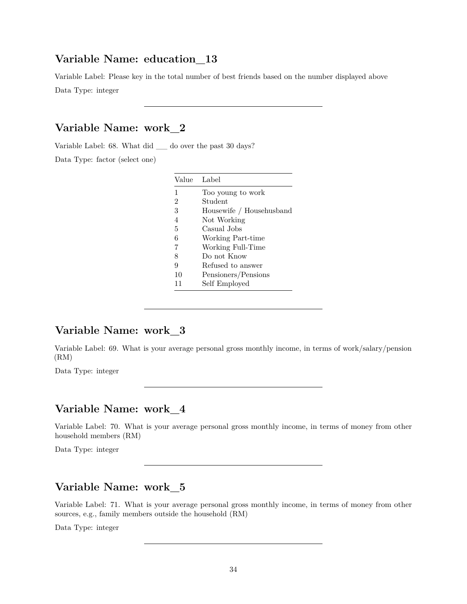#### **Variable Name: education\_13**

Variable Label: Please key in the total number of best friends based on the number displayed above Data Type: integer

# **Variable Name: work\_2**

Variable Label: 68. What did \_\_ do over the past 30 days?

Data Type: factor (select one)

| Value Label    |                          |
|----------------|--------------------------|
| 1              | Too young to work        |
| $\overline{2}$ | Student                  |
| 3              | Housewife / Househusband |
| 4              | Not Working              |
| 5              | Casual Jobs              |
| 6              | Working Part-time        |
| 7              | Working Full-Time        |
| 8              | Do not Know              |
| 9              | Refused to answer        |
| 10             | Pensioners/Pensions      |
| 11             | Self Employed            |

#### **Variable Name: work\_3**

Variable Label: 69. What is your average personal gross monthly income, in terms of work/salary/pension (RM)

Data Type: integer

#### **Variable Name: work\_4**

Variable Label: 70. What is your average personal gross monthly income, in terms of money from other household members (RM)

Data Type: integer

# **Variable Name: work\_5**

Variable Label: 71. What is your average personal gross monthly income, in terms of money from other sources, e.g., family members outside the household (RM)

Data Type: integer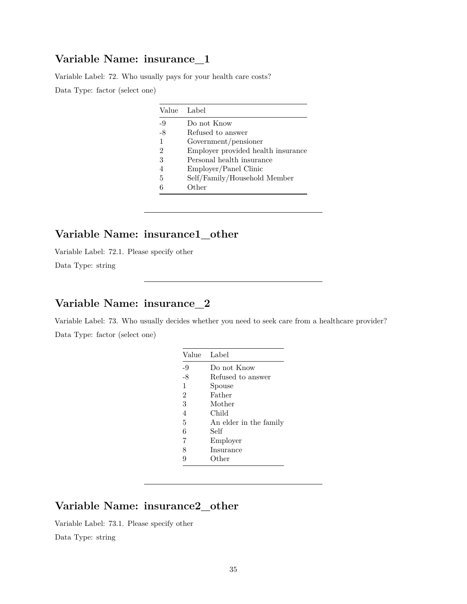#### **Variable Name: insurance\_1**

Variable Label: 72. Who usually pays for your health care costs? Data Type: factor (select one)

|                | Value Label                        |
|----------------|------------------------------------|
| $-9$           | Do not Know                        |
| $-8$           | Refused to answer                  |
| 1              | Government/pensioner               |
| 2              | Employer provided health insurance |
| 3              | Personal health insurance          |
| $\overline{4}$ | Employer/Panel Clinic              |
| 5              | Self/Family/Household Member       |
| 6              | Other                              |

# **Variable Name: insurance1\_other**

Variable Label: 72.1. Please specify other

Data Type: string

# **Variable Name: insurance\_2**

Variable Label: 73. Who usually decides whether you need to seek care from a healthcare provider? Data Type: factor (select one)

| Value          | Label                  |
|----------------|------------------------|
| -9             | Do not Know            |
| $-8$           | Refused to answer      |
| 1              | Spouse                 |
| $\overline{2}$ | Father                 |
| 3              | Mother                 |
| 4              | Child                  |
| 5              | An elder in the family |
| 6              | Self                   |
| 7              | Employer               |
| 8              | Insurance              |
|                | Other                  |

### **Variable Name: insurance2\_other**

Variable Label: 73.1. Please specify other

Data Type: string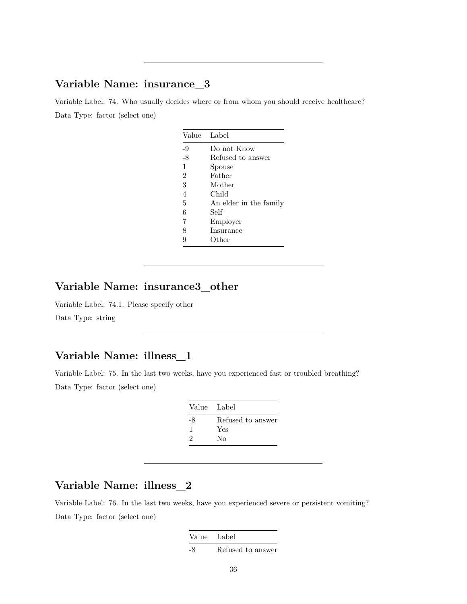#### **Variable Name: insurance\_3**

Variable Label: 74. Who usually decides where or from whom you should receive healthcare? Data Type: factor (select one)

| Value          | Label                  |
|----------------|------------------------|
| -9             | Do not Know            |
| $-8$           | Refused to answer      |
| 1              | Spouse                 |
| $\overline{2}$ | Father                 |
| 3              | Mother                 |
| 4              | Child                  |
| 5              | An elder in the family |
| 6              | Self                   |
| 7              | Employer               |
| 8              | Insurance              |
| 9              | Other                  |

# **Variable Name: insurance3\_other**

Variable Label: 74.1. Please specify other Data Type: string

### **Variable Name: illness\_1**

Variable Label: 75. In the last two weeks, have you experienced fast or troubled breathing? Data Type: factor (select one)

| Value Label |                   |
|-------------|-------------------|
| -8          | Refused to answer |
|             | Yes               |
| 2           | Nο                |

# **Variable Name: illness\_2**

Variable Label: 76. In the last two weeks, have you experienced severe or persistent vomiting? Data Type: factor (select one)

| Value Label |                   |
|-------------|-------------------|
| -8          | Refused to answer |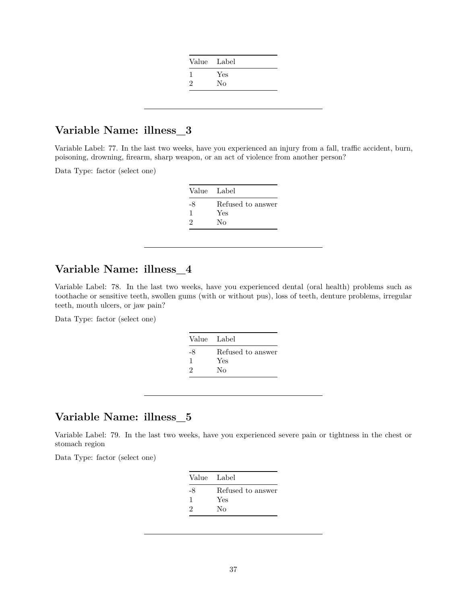|   | Value Label |
|---|-------------|
|   | Yes         |
| 2 | No          |

Variable Label: 77. In the last two weeks, have you experienced an injury from a fall, traffic accident, burn, poisoning, drowning, firearm, sharp weapon, or an act of violence from another person?

Data Type: factor (select one)

| Value Label |                   |
|-------------|-------------------|
| -8          | Refused to answer |
|             | Yes               |
| 2           | Nο                |

### **Variable Name: illness\_4**

Variable Label: 78. In the last two weeks, have you experienced dental (oral health) problems such as toothache or sensitive teeth, swollen gums (with or without pus), loss of teeth, denture problems, irregular teeth, mouth ulcers, or jaw pain?

Data Type: factor (select one)

| Value Label |                   |
|-------------|-------------------|
| -8          | Refused to answer |
|             | Yes               |
| $\Omega$    | Nο                |

#### **Variable Name: illness\_5**

Variable Label: 79. In the last two weeks, have you experienced severe pain or tightness in the chest or stomach region

| Refused to answer<br>-8<br>Yes<br>Nο<br>9 |  |
|-------------------------------------------|--|
|                                           |  |
|                                           |  |
|                                           |  |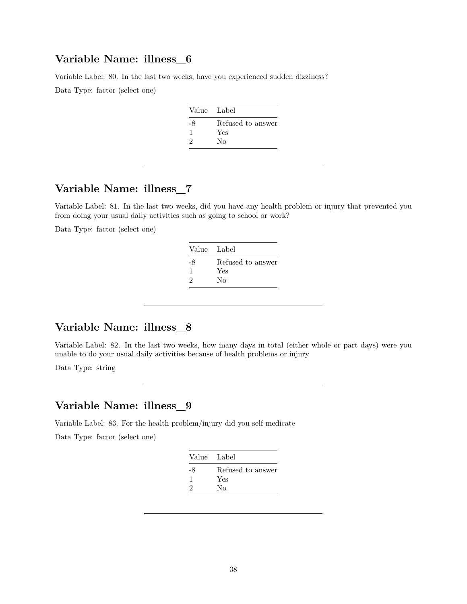Variable Label: 80. In the last two weeks, have you experienced sudden dizziness?

Data Type: factor (select one)

| Value Label |                   |
|-------------|-------------------|
| -8          | Refused to answer |
|             | Yes               |
| 2           | No                |

#### **Variable Name: illness\_7**

Variable Label: 81. In the last two weeks, did you have any health problem or injury that prevented you from doing your usual daily activities such as going to school or work?

Data Type: factor (select one)

| Value Label |                   |
|-------------|-------------------|
| -8          | Refused to answer |
|             | Yes               |
| 9           | Nο                |

## **Variable Name: illness\_8**

Variable Label: 82. In the last two weeks, how many days in total (either whole or part days) were you unable to do your usual daily activities because of health problems or injury

Data Type: string

#### **Variable Name: illness\_9**

Variable Label: 83. For the health problem/injury did you self medicate

| Value Label |                   |
|-------------|-------------------|
| -8          | Refused to answer |
| ш           | Yes               |
| 2           | Nο                |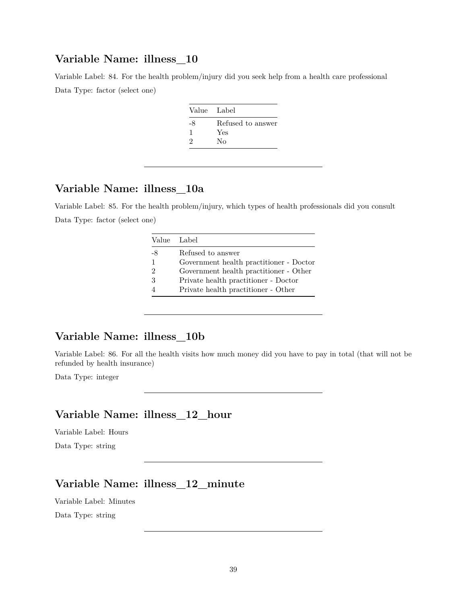Variable Label: 84. For the health problem/injury did you seek help from a health care professional Data Type: factor (select one)

| Value Label |                   |
|-------------|-------------------|
| -8          | Refused to answer |
| ı           | Yes               |
| 9           | Nο                |
|             |                   |

#### **Variable Name: illness\_10a**

Variable Label: 85. For the health problem/injury, which types of health professionals did you consult Data Type: factor (select one)

|                | Value Label                             |
|----------------|-----------------------------------------|
| -8             | Refused to answer                       |
| 1              | Government health practitioner - Doctor |
| $\mathfrak{D}$ | Government health practitioner - Other  |
| 3              | Private health practitioner - Doctor    |
|                | Private health practitioner - Other     |

#### **Variable Name: illness\_10b**

Variable Label: 86. For all the health visits how much money did you have to pay in total (that will not be refunded by health insurance)

Data Type: integer

### **Variable Name: illness\_12\_hour**

Variable Label: Hours

Data Type: string

### **Variable Name: illness\_12\_minute**

Variable Label: Minutes

Data Type: string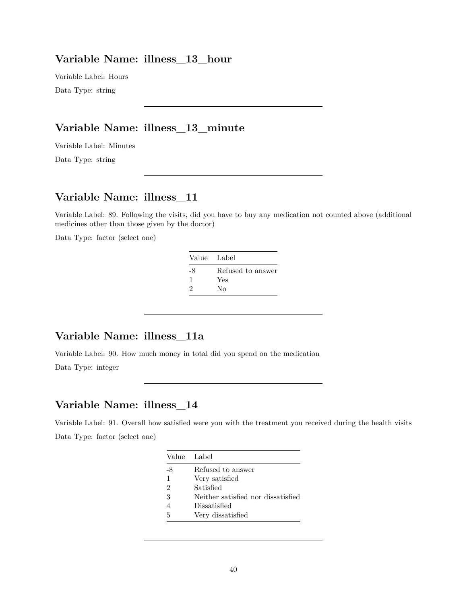#### **Variable Name: illness\_13\_hour**

Variable Label: Hours Data Type: string

#### **Variable Name: illness\_13\_minute**

Variable Label: Minutes

Data Type: string

#### **Variable Name: illness\_11**

Variable Label: 89. Following the visits, did you have to buy any medication not counted above (additional medicines other than those given by the doctor)

Data Type: factor (select one)

|    | Value Label       |
|----|-------------------|
| -8 | Refused to answer |
|    | Yes               |
| 2  | Nο                |

#### **Variable Name: illness\_11a**

Variable Label: 90. How much money in total did you spend on the medication

Data Type: integer

#### **Variable Name: illness\_14**

Variable Label: 91. Overall how satisfied were you with the treatment you received during the health visits Data Type: factor (select one)

|    | Value Label                        |
|----|------------------------------------|
| -8 | Refused to answer                  |
| 1  | Very satisfied                     |
| 2  | Satisfied                          |
| 3  | Neither satisfied nor dissatisfied |
| 4  | Dissatisfied                       |
| 5  | Very dissatisfied                  |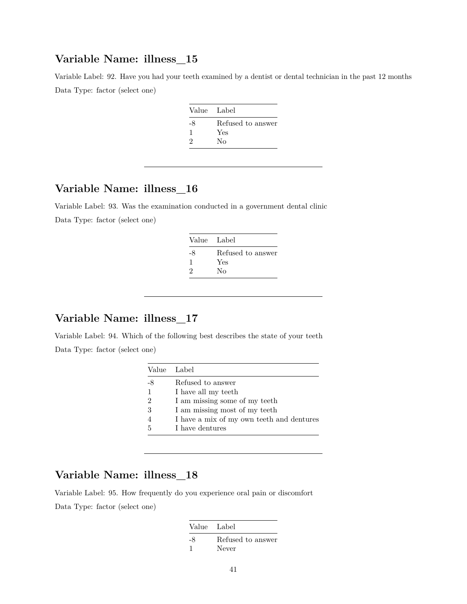Variable Label: 92. Have you had your teeth examined by a dentist or dental technician in the past 12 months Data Type: factor (select one)

| Value Label                 |                   |
|-----------------------------|-------------------|
| -8                          | Refused to answer |
|                             | Yes               |
| $\mathcal{D}_{\mathcal{L}}$ | Nο                |

#### **Variable Name: illness\_16**

Variable Label: 93. Was the examination conducted in a government dental clinic Data Type: factor (select one)

| Value Label |                   |
|-------------|-------------------|
| -8          | Refused to answer |
|             | Yes               |
| 2           | Nο                |

#### **Variable Name: illness\_17**

Variable Label: 94. Which of the following best describes the state of your teeth Data Type: factor (select one)

| Value Label    |                                           |
|----------------|-------------------------------------------|
| -8             | Refused to answer                         |
| 1              | I have all my teeth                       |
| $\mathfrak{D}$ | I am missing some of my teeth             |
| 3              | I am missing most of my teeth             |
|                | I have a mix of my own teeth and dentures |
| 5              | I have dentures                           |

### **Variable Name: illness\_18**

Variable Label: 95. How frequently do you experience oral pain or discomfort Data Type: factor (select one)

| Value Label |                            |
|-------------|----------------------------|
| -8          | Refused to answer<br>Never |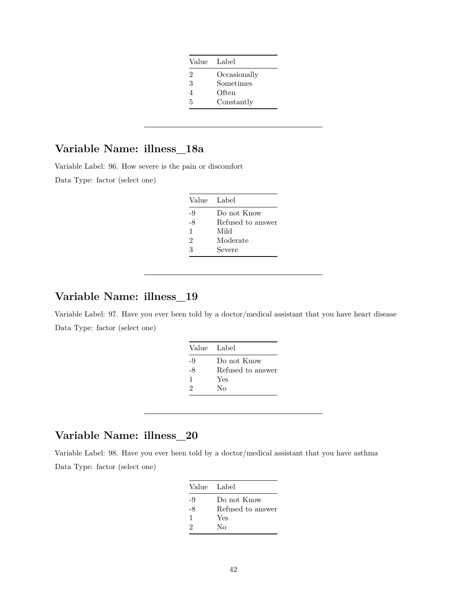| Value Label    |              |
|----------------|--------------|
| $\mathfrak{D}$ | Occasionally |
| 3              | Sometimes    |
|                | Often        |
| 5              | Constantly   |

Variable Label: 96. How severe is the pain or discomfort

Data Type: factor (select one)

| Value Label |                   |
|-------------|-------------------|
| -9          | Do not Know       |
| -8          | Refused to answer |
| 1           | Mild              |
| 2           | Moderate          |
| 3           | Severe            |

#### **Variable Name: illness\_19**

Variable Label: 97. Have you ever been told by a doctor/medical assistant that you have heart disease Data Type: factor (select one)

| Value Label |                   |
|-------------|-------------------|
| -9          | Do not Know       |
| -8          | Refused to answer |
| 1           | Yes               |
| 9           | Nο                |

#### **Variable Name: illness\_20**

Variable Label: 98. Have you ever been told by a doctor/medical assistant that you have asthma Data Type: factor (select one)

| Value Label |                   |
|-------------|-------------------|
| -9          | Do not Know       |
| -8          | Refused to answer |
| 1           | Yes               |
| $\Omega$    | Nο                |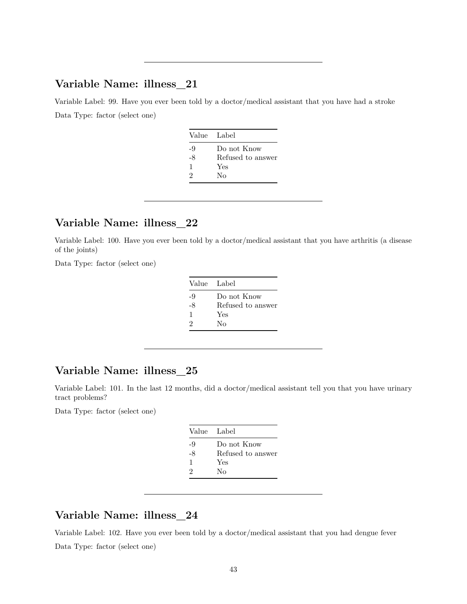Variable Label: 99. Have you ever been told by a doctor/medical assistant that you have had a stroke Data Type: factor (select one)

| Value Label |                   |
|-------------|-------------------|
| -9          | Do not Know       |
| -8          | Refused to answer |
| 1           | Yes               |
| 2           | Nο                |
|             |                   |

### **Variable Name: illness\_22**

Variable Label: 100. Have you ever been told by a doctor/medical assistant that you have arthritis (a disease of the joints)

Data Type: factor (select one)

| Value Label |                   |
|-------------|-------------------|
| -9          | Do not Know       |
| -8          | Refused to answer |
| 1           | Yes               |
| 2           | Nο                |

#### **Variable Name: illness\_25**

Variable Label: 101. In the last 12 months, did a doctor/medical assistant tell you that you have urinary tract problems?

Data Type: factor (select one)

|      | Value Label       |
|------|-------------------|
| -9   | Do not Know       |
| $-8$ | Refused to answer |
| 1    | Yes               |
| 2    | Nο                |
|      |                   |

#### **Variable Name: illness\_24**

Variable Label: 102. Have you ever been told by a doctor/medical assistant that you had dengue fever Data Type: factor (select one)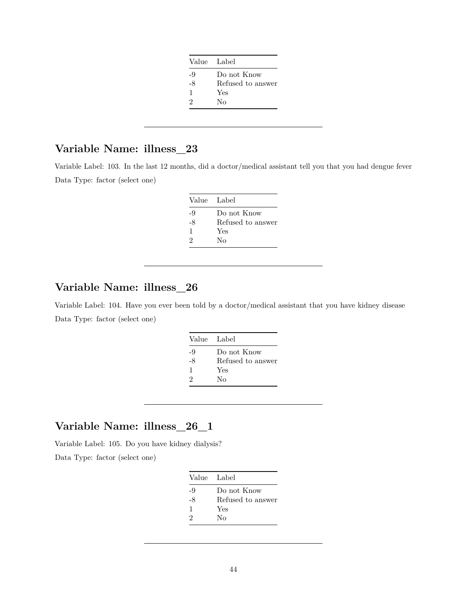| Value Label |                   |
|-------------|-------------------|
| -9          | Do not Know       |
| -8          | Refused to answer |
| 1           | Yes               |
| 2           | Nο                |

Variable Label: 103. In the last 12 months, did a doctor/medical assistant tell you that you had dengue fever Data Type: factor (select one)

|    | Value Label       |
|----|-------------------|
| -9 | Do not Know       |
| -8 | Refused to answer |
| 1  | Yes               |
| 9  | Nο                |

## **Variable Name: illness\_26**

Variable Label: 104. Have you ever been told by a doctor/medical assistant that you have kidney disease Data Type: factor (select one)

| Value Label |                   |
|-------------|-------------------|
| -9          | Do not Know       |
| -8          | Refused to answer |
| 1           | Yes               |
| 2           | Nο                |
|             |                   |

### **Variable Name: illness\_26\_1**

Variable Label: 105. Do you have kidney dialysis?

| Value Label |                   |
|-------------|-------------------|
| -9          | Do not Know       |
| -8          | Refused to answer |
| 1           | Yes               |
| 2           | Nο                |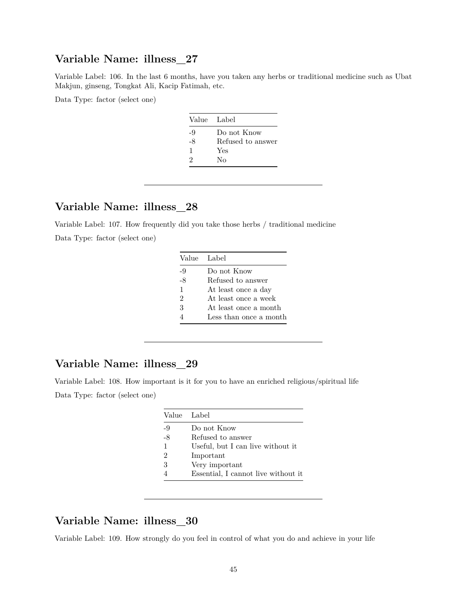Variable Label: 106. In the last 6 months, have you taken any herbs or traditional medicine such as Ubat Makjun, ginseng, Tongkat Ali, Kacip Fatimah, etc.

Data Type: factor (select one)

| Value Label |                   |
|-------------|-------------------|
| -9          | Do not Know       |
| -8          | Refused to answer |
| 1           | Yes               |
| 2           | Nο                |
|             |                   |

## **Variable Name: illness\_28**

Variable Label: 107. How frequently did you take those herbs / traditional medicine Data Type: factor (select one)

| Value Label    |                        |
|----------------|------------------------|
| -9             | Do not Know            |
| -8             | Refused to answer      |
| $\mathbf{1}$   | At least once a day    |
| $\mathfrak{D}$ | At least once a week   |
| 3              | At least once a month  |
|                | Less than once a month |

#### **Variable Name: illness\_29**

Variable Label: 108. How important is it for you to have an enriched religious/spiritual life Data Type: factor (select one)

|    | Value Label                         |
|----|-------------------------------------|
| -9 | Do not Know                         |
| -8 | Refused to answer                   |
| 1  | Useful, but I can live without it   |
| 2  | Important                           |
| 3  | Very important                      |
|    | Essential, I cannot live without it |

#### **Variable Name: illness\_30**

Variable Label: 109. How strongly do you feel in control of what you do and achieve in your life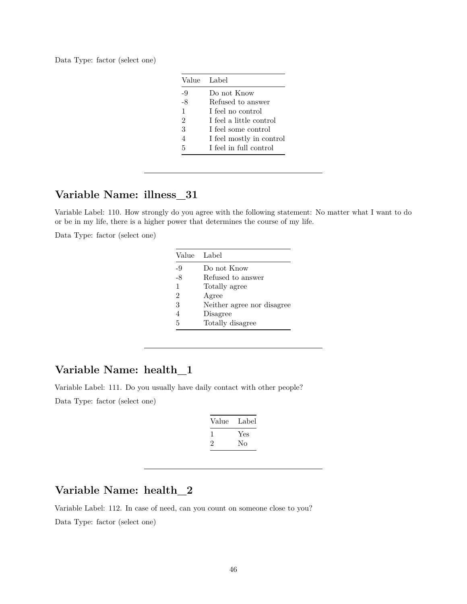Data Type: factor (select one)

|                | Value Label              |
|----------------|--------------------------|
| $-9$           | Do not Know              |
| $-8$           | Refused to answer        |
| 1              | I feel no control        |
| $\overline{2}$ | I feel a little control  |
| 3              | I feel some control      |
| $\overline{4}$ | I feel mostly in control |
| 5              | I feel in full control   |

#### **Variable Name: illness\_31**

Variable Label: 110. How strongly do you agree with the following statement: No matter what I want to do or be in my life, there is a higher power that determines the course of my life.

Data Type: factor (select one)

|                | Value Label                |
|----------------|----------------------------|
| -9             | Do not Know                |
| -8             | Refused to answer          |
| 1              | Totally agree              |
| $\overline{2}$ | Agree                      |
| 3              | Neither agree nor disagree |
| 4              | Disagree                   |
| 5              | Totally disagree           |

### **Variable Name: health\_1**

Variable Label: 111. Do you usually have daily contact with other people? Data Type: factor (select one)

| Value | Label |
|-------|-------|
| L     | Yes   |
| ۰,    | Nο    |

#### **Variable Name: health\_2**

Variable Label: 112. In case of need, can you count on someone close to you? Data Type: factor (select one)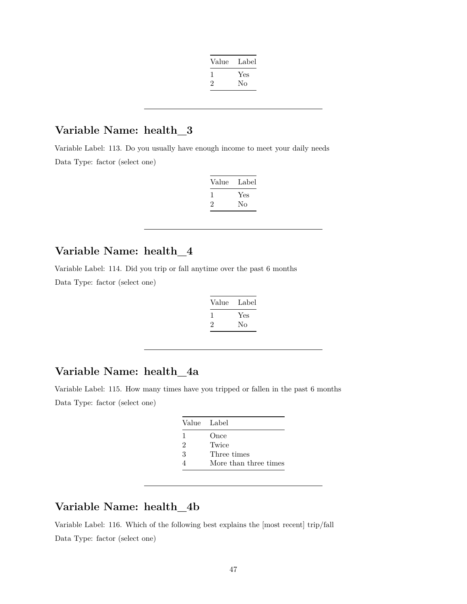| Value | Label |
|-------|-------|
|       | Yes   |
| 2     | Nο    |
|       |       |

Variable Label: 113. Do you usually have enough income to meet your daily needs Data Type: factor (select one)

| Value | Label |
|-------|-------|
|       | Yes   |
| ۰,    | Nο    |

### **Variable Name: health\_4**

Variable Label: 114. Did you trip or fall anytime over the past 6 months

Data Type: factor (select one)

| Value | Label |
|-------|-------|
|       | Yes   |
| ۰,    | Nο    |

#### **Variable Name: health\_4a**

Variable Label: 115. How many times have you tripped or fallen in the past 6 months Data Type: factor (select one)

| Value Label |                       |
|-------------|-----------------------|
| 1           | Once                  |
| 2           | Twice                 |
| 3           | Three times           |
|             | More than three times |

# **Variable Name: health\_4b**

Variable Label: 116. Which of the following best explains the [most recent] trip/fall Data Type: factor (select one)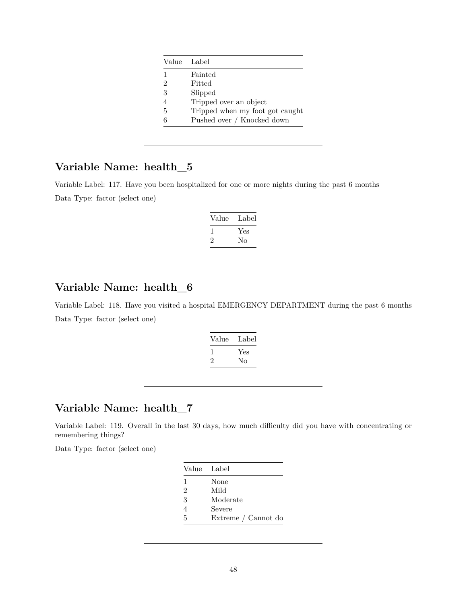| Value Label                     |
|---------------------------------|
| Fainted                         |
| Fitted                          |
| Slipped                         |
| Tripped over an object          |
| Tripped when my foot got caught |
| Pushed over / Knocked down      |
|                                 |

Variable Label: 117. Have you been hospitalized for one or more nights during the past 6 months Data Type: factor (select one)

| Value | Label |
|-------|-------|
|       | Yes   |
| ۰,    | Nο    |

## **Variable Name: health\_6**

Variable Label: 118. Have you visited a hospital EMERGENCY DEPARTMENT during the past 6 months Data Type: factor (select one)

| Value | Label |
|-------|-------|
|       | Yes   |
| '2    | Nο    |
|       |       |

## **Variable Name: health\_7**

Variable Label: 119. Overall in the last 30 days, how much difficulty did you have with concentrating or remembering things?

|                | Value Label         |
|----------------|---------------------|
| 1              | None                |
| $\overline{2}$ | Mild                |
| 3              | Moderate            |
| 4              | Severe              |
| 5              | Extreme / Cannot do |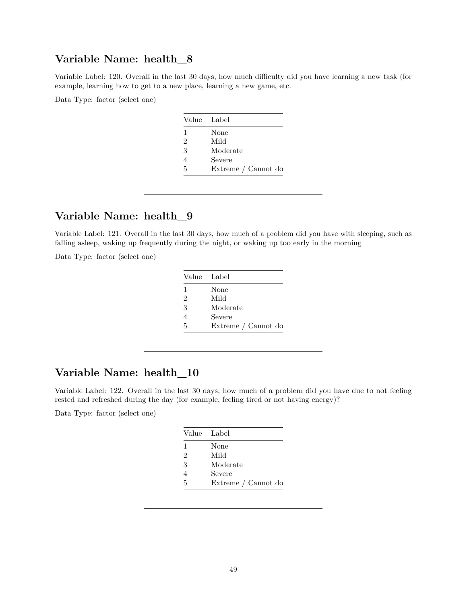Variable Label: 120. Overall in the last 30 days, how much difficulty did you have learning a new task (for example, learning how to get to a new place, learning a new game, etc.

Data Type: factor (select one)

|   | Value Label         |
|---|---------------------|
| 1 | None                |
| 2 | Mild                |
| 3 | Moderate            |
|   | Severe              |
| 5 | Extreme / Cannot do |

### **Variable Name: health\_9**

Variable Label: 121. Overall in the last 30 days, how much of a problem did you have with sleeping, such as falling asleep, waking up frequently during the night, or waking up too early in the morning

Data Type: factor (select one)

| Value Label    |                     |
|----------------|---------------------|
| $\mathbf{1}$   | None                |
| $\overline{2}$ | Mild                |
| 3              | Moderate            |
| 4              | Severe              |
| 5              | Extreme / Cannot do |

#### **Variable Name: health\_10**

Variable Label: 122. Overall in the last 30 days, how much of a problem did you have due to not feeling rested and refreshed during the day (for example, feeling tired or not having energy)?

| Value Label    |                     |
|----------------|---------------------|
| 1              | None                |
| $\mathfrak{D}$ | Mild                |
| 3              | Moderate            |
|                | Severe              |
| 5              | Extreme / Cannot do |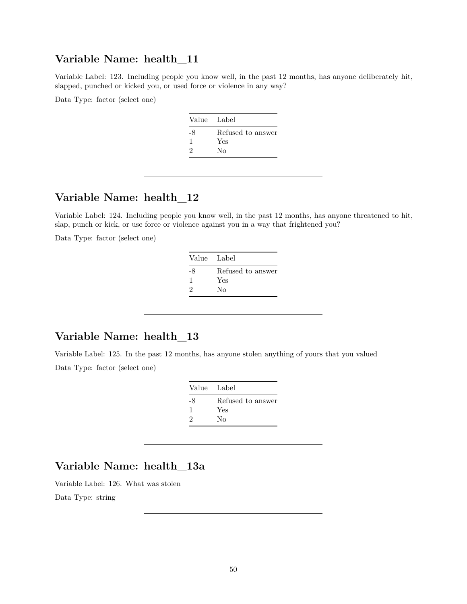Variable Label: 123. Including people you know well, in the past 12 months, has anyone deliberately hit, slapped, punched or kicked you, or used force or violence in any way?

Data Type: factor (select one)

| Refused to answer<br>-8 |  |
|-------------------------|--|
|                         |  |
| Yes<br>1                |  |
| 2<br>Nο                 |  |

#### **Variable Name: health\_12**

Variable Label: 124. Including people you know well, in the past 12 months, has anyone threatened to hit, slap, punch or kick, or use force or violence against you in a way that frightened you?

Data Type: factor (select one)

| Value Label |                   |
|-------------|-------------------|
| -8          | Refused to answer |
|             | Yes               |
| 2           | Nο                |

#### **Variable Name: health\_13**

Variable Label: 125. In the past 12 months, has anyone stolen anything of yours that you valued Data Type: factor (select one)

| Value Label |                   |
|-------------|-------------------|
| -8          | Refused to answer |
|             | Yes               |
| $\cdot$     | Nο                |

## **Variable Name: health\_13a**

Variable Label: 126. What was stolen

Data Type: string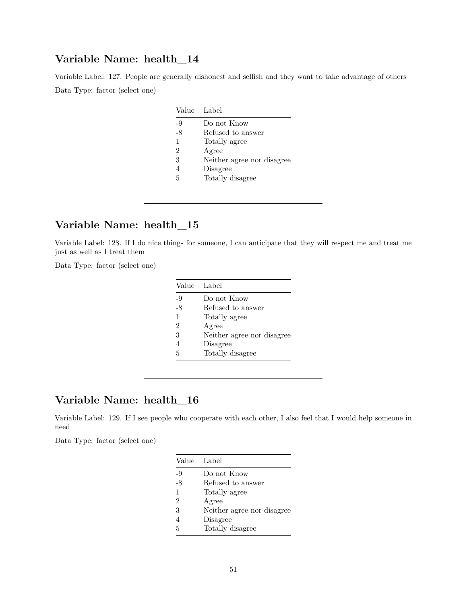Variable Label: 127. People are generally dishonest and selfish and they want to take advantage of others Data Type: factor (select one)

|                | Value Label                |
|----------------|----------------------------|
| -9             | Do not Know                |
| -8             | Refused to answer          |
| 1              | Totally agree              |
| $\overline{2}$ | Agree                      |
| 3              | Neither agree nor disagree |
| 4              | Disagree                   |
| 5              | Totally disagree           |

### **Variable Name: health\_15**

Variable Label: 128. If I do nice things for someone, I can anticipate that they will respect me and treat me just as well as I treat them

Data Type: factor (select one)

| Value Label |                            |
|-------------|----------------------------|
| -9          | Do not Know                |
| -8          | Refused to answer          |
| 1           | Totally agree              |
| 2           | Agree                      |
| 3           | Neither agree nor disagree |
| 4           | Disagree                   |
| 5           | Totally disagree           |

## **Variable Name: health\_16**

Variable Label: 129. If I see people who cooperate with each other, I also feel that I would help someone in need

| Value Label                |
|----------------------------|
| Do not Know                |
| Refused to answer          |
| Totally agree              |
| Agree                      |
| Neither agree nor disagree |
| Disagree                   |
| Totally disagree           |
|                            |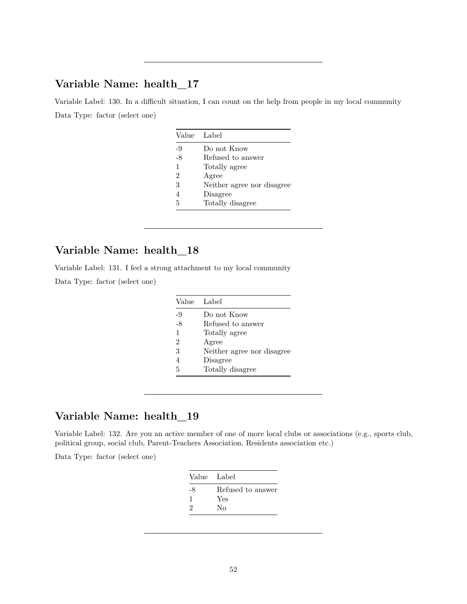Variable Label: 130. In a difficult situation, I can count on the help from people in my local community Data Type: factor (select one)

| Value                       | Label                      |
|-----------------------------|----------------------------|
| -9                          | Do not Know                |
| -8                          | Refused to answer          |
| 1                           | Totally agree              |
| $\mathcal{D}_{\mathcal{L}}$ | Agree                      |
| 3                           | Neither agree nor disagree |
| 4                           | Disagree                   |
| 5                           | Totally disagree           |

### **Variable Name: health\_18**

Variable Label: 131. I feel a strong attachment to my local community

Data Type: factor (select one)

| Value Label                 |                            |
|-----------------------------|----------------------------|
| -9                          | Do not Know                |
| -8                          | Refused to answer          |
| 1                           | Totally agree              |
| $\mathcal{D}_{\mathcal{L}}$ | Agree                      |
| 3                           | Neither agree nor disagree |
| 4                           | Disagree                   |
| 5                           | Totally disagree           |

## **Variable Name: health\_19**

Variable Label: 132. Are you an active member of one of more local clubs or associations (e.g., sports club, political group, social club, Parent-Teachers Association, Residents association etc.)

| Value Label |                   |
|-------------|-------------------|
| -8          | Refused to answer |
|             | Yes               |
| 2           | Nο                |
|             |                   |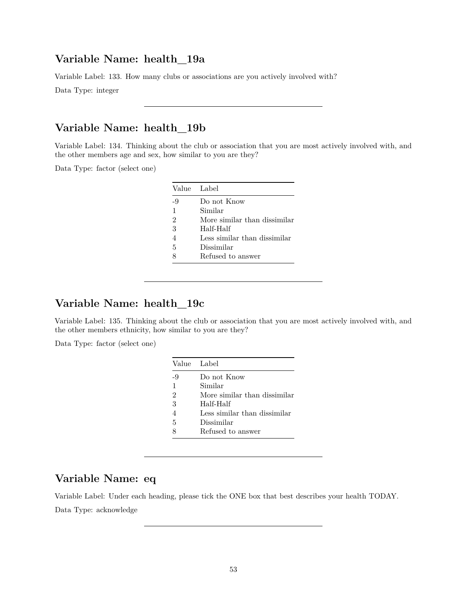Variable Label: 133. How many clubs or associations are you actively involved with?

Data Type: integer

### **Variable Name: health\_19b**

Variable Label: 134. Thinking about the club or association that you are most actively involved with, and the other members age and sex, how similar to you are they?

Data Type: factor (select one)

|                | Value Label                  |
|----------------|------------------------------|
| -9             | Do not Know                  |
| $\mathbf{1}$   | Similar                      |
| $\overline{2}$ | More similar than dissimilar |
| 3              | Half-Half                    |
| 4              | Less similar than dissimilar |
| 5              | Dissimilar                   |
| 8              | Refused to answer            |

## **Variable Name: health\_19c**

Variable Label: 135. Thinking about the club or association that you are most actively involved with, and the other members ethnicity, how similar to you are they?

Data Type: factor (select one)

|                | Value Label                  |
|----------------|------------------------------|
| -9             | Do not Know                  |
| 1              | Similar                      |
| $\mathfrak{D}$ | More similar than dissimilar |
| 3              | Half-Half                    |
| 4              | Less similar than dissimilar |
| 5              | Dissimilar                   |
|                | Refused to answer            |

#### **Variable Name: eq**

Variable Label: Under each heading, please tick the ONE box that best describes your health TODAY. Data Type: acknowledge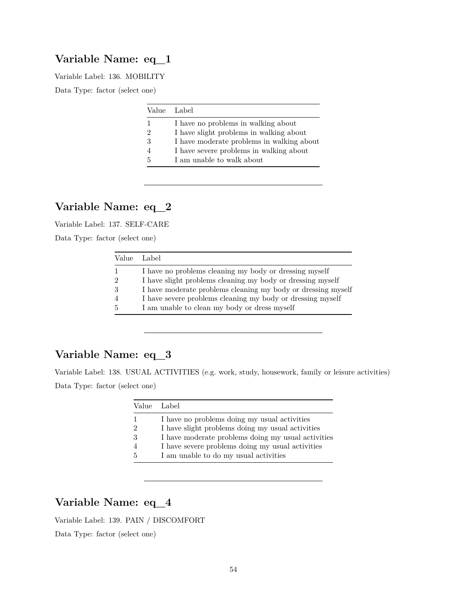#### **Variable Name: eq\_1**

Variable Label: 136. MOBILITY

Data Type: factor (select one)

|                | Value Label                               |
|----------------|-------------------------------------------|
|                | I have no problems in walking about       |
| $\mathfrak{D}$ | I have slight problems in walking about   |
| 3              | I have moderate problems in walking about |
|                | I have severe problems in walking about   |
| 5              | I am unable to walk about                 |

## **Variable Name: eq\_2**

Variable Label: 137. SELF-CARE

Data Type: factor (select one)

| Value Label                                                  |
|--------------------------------------------------------------|
| I have no problems cleaning my body or dressing myself       |
| I have slight problems cleaning my body or dressing myself   |
| I have moderate problems cleaning my body or dressing myself |
| I have severe problems cleaning my body or dressing myself   |
| I am unable to clean my body or dress myself                 |

#### **Variable Name: eq\_3**

Variable Label: 138. USUAL ACTIVITIES (e.g. work, study, housework, family or leisure activities) Data Type: factor (select one)

|   | Value Label                                        |
|---|----------------------------------------------------|
|   | I have no problems doing my usual activities       |
|   | I have slight problems doing my usual activities   |
|   | I have moderate problems doing my usual activities |
|   | I have severe problems doing my usual activities   |
| 5 | I am unable to do my usual activities              |

## **Variable Name: eq\_4**

Variable Label: 139. PAIN / DISCOMFORT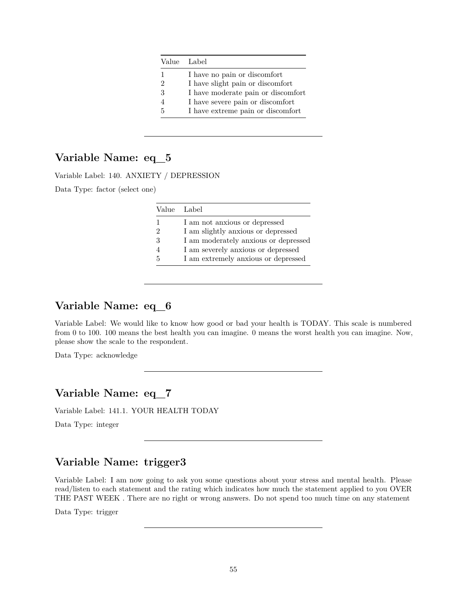|                | Value Label                        |
|----------------|------------------------------------|
| 1              | I have no pain or discomfort       |
| $\mathfrak{D}$ | I have slight pain or discomfort   |
| 3              | I have moderate pain or discomfort |
|                | I have severe pain or discomfort   |
| 5              | I have extreme pain or discomfort  |

### **Variable Name: eq\_5**

Variable Label: 140. ANXIETY / DEPRESSION

Data Type: factor (select one)

|   | Value Label                          |
|---|--------------------------------------|
| 1 | I am not anxious or depressed        |
| 2 | I am slightly anxious or depressed   |
| 3 | I am moderately anxious or depressed |
|   | I am severely anxious or depressed   |
| 5 | I am extremely anxious or depressed  |

#### **Variable Name: eq\_6**

Variable Label: We would like to know how good or bad your health is TODAY. This scale is numbered from 0 to 100. 100 means the best health you can imagine. 0 means the worst health you can imagine. Now, please show the scale to the respondent.

Data Type: acknowledge

#### **Variable Name: eq\_7**

Variable Label: 141.1. YOUR HEALTH TODAY

Data Type: integer

### **Variable Name: trigger3**

Variable Label: I am now going to ask you some questions about your stress and mental health. Please read/listen to each statement and the rating which indicates how much the statement applied to you OVER THE PAST WEEK . There are no right or wrong answers. Do not spend too much time on any statement

Data Type: trigger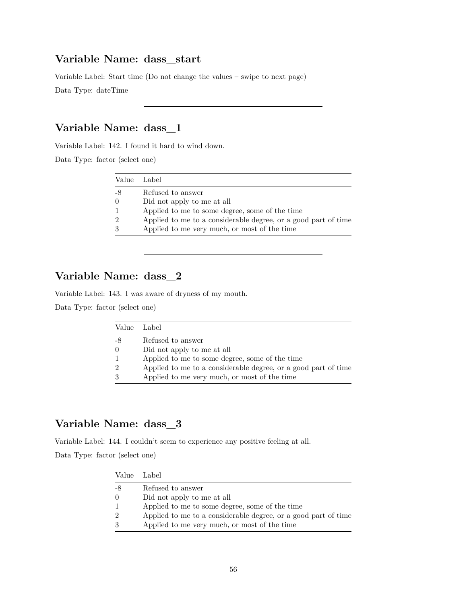#### **Variable Name: dass\_start**

Variable Label: Start time (Do not change the values – swipe to next page)

Data Type: dateTime

## **Variable Name: dass\_1**

Variable Label: 142. I found it hard to wind down.

Data Type: factor (select one)

| Value Label   |                                                                |
|---------------|----------------------------------------------------------------|
| -8            | Refused to answer                                              |
| $\theta$      | Did not apply to me at all                                     |
|               | Applied to me to some degree, some of the time                 |
| $\mathcal{D}$ | Applied to me to a considerable degree, or a good part of time |
| 3             | Applied to me very much, or most of the time                   |

### **Variable Name: dass\_2**

Variable Label: 143. I was aware of dryness of my mouth.

Data Type: factor (select one)

|                | Value Label                                                    |
|----------------|----------------------------------------------------------------|
| -8             | Refused to answer                                              |
| $\Omega$       | Did not apply to me at all                                     |
| $\mathbf{1}$   | Applied to me to some degree, some of the time                 |
| $\overline{2}$ | Applied to me to a considerable degree, or a good part of time |
| 3              | Applied to me very much, or most of the time                   |

### **Variable Name: dass\_3**

Variable Label: 144. I couldn't seem to experience any positive feeling at all.

| Value Label |                                                                |
|-------------|----------------------------------------------------------------|
| -8          | Refused to answer                                              |
| $\Omega$    | Did not apply to me at all                                     |
|             | Applied to me to some degree, some of the time                 |
| $\Omega$    | Applied to me to a considerable degree, or a good part of time |
|             | Applied to me very much, or most of the time                   |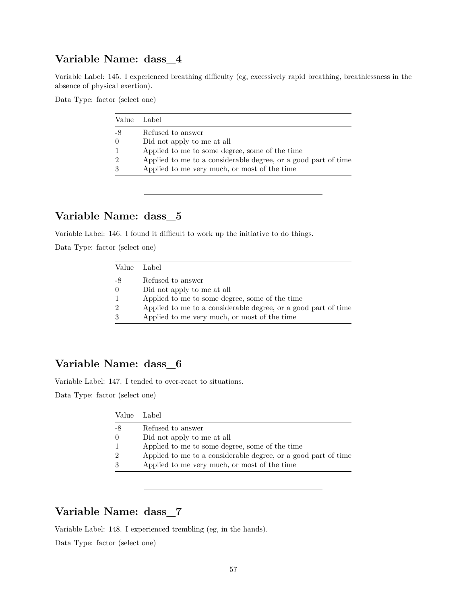Variable Label: 145. I experienced breathing difficulty (eg, excessively rapid breathing, breathlessness in the absence of physical exertion).

Data Type: factor (select one)

|          | Value Label                                                    |
|----------|----------------------------------------------------------------|
| -8       | Refused to answer                                              |
| $\Omega$ | Did not apply to me at all                                     |
|          | Applied to me to some degree, some of the time                 |
| 2        | Applied to me to a considerable degree, or a good part of time |
| 3        | Applied to me very much, or most of the time                   |

#### **Variable Name: dass\_5**

Variable Label: 146. I found it difficult to work up the initiative to do things.

Data Type: factor (select one)

| Value          | Label                                                          |
|----------------|----------------------------------------------------------------|
| -8             | Refused to answer                                              |
| $\theta$       | Did not apply to me at all                                     |
| $\mathbf{1}$   | Applied to me to some degree, some of the time                 |
| $\overline{2}$ | Applied to me to a considerable degree, or a good part of time |
| 3              | Applied to me very much, or most of the time                   |

## **Variable Name: dass\_6**

Variable Label: 147. I tended to over-react to situations.

Data Type: factor (select one)

| Value          | Label                                                          |
|----------------|----------------------------------------------------------------|
| -8             | Refused to answer                                              |
| $\Omega$       | Did not apply to me at all                                     |
| 1              | Applied to me to some degree, some of the time                 |
| $\overline{2}$ | Applied to me to a considerable degree, or a good part of time |
| 3              | Applied to me very much, or most of the time                   |

#### **Variable Name: dass\_7**

Variable Label: 148. I experienced trembling (eg, in the hands).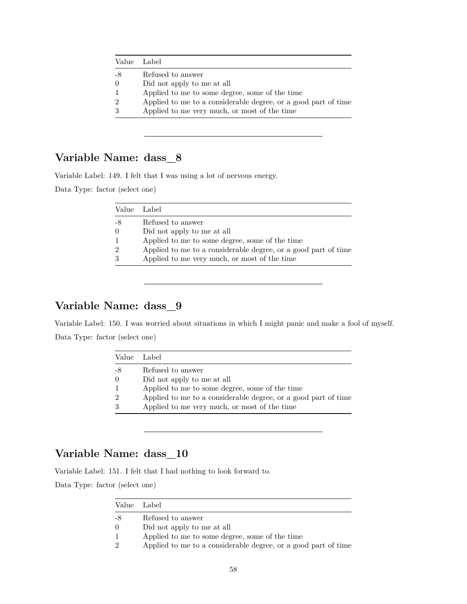|                | Value Label                                                    |
|----------------|----------------------------------------------------------------|
| -8             | Refused to answer                                              |
| $\left($       | Did not apply to me at all                                     |
| $\mathbf{1}$   | Applied to me to some degree, some of the time                 |
| $\overline{2}$ | Applied to me to a considerable degree, or a good part of time |
| 3              | Applied to me very much, or most of the time                   |
|                |                                                                |

Variable Label: 149. I felt that I was using a lot of nervous energy.

Data Type: factor (select one)

|    | Value Label                                                    |
|----|----------------------------------------------------------------|
| -8 | Refused to answer                                              |
|    | Did not apply to me at all                                     |
|    | Applied to me to some degree, some of the time                 |
|    | Applied to me to a considerable degree, or a good part of time |
|    | Applied to me very much, or most of the time                   |

#### **Variable Name: dass\_9**

Variable Label: 150. I was worried about situations in which I might panic and make a fool of myself. Data Type: factor (select one)

| Value Label |                                                                |
|-------------|----------------------------------------------------------------|
| -8          | Refused to answer                                              |
| $\Omega$    | Did not apply to me at all                                     |
|             | Applied to me to some degree, some of the time                 |
| 2           | Applied to me to a considerable degree, or a good part of time |
|             | Applied to me very much, or most of the time                   |

#### **Variable Name: dass\_10**

Variable Label: 151. I felt that I had nothing to look forward to.

|                  | Value Label                                                    |
|------------------|----------------------------------------------------------------|
| $-8$             | Refused to answer                                              |
| $\left( \right)$ | Did not apply to me at all                                     |
|                  | Applied to me to some degree, some of the time                 |
| ച                | Applied to me to a considerable degree, or a good part of time |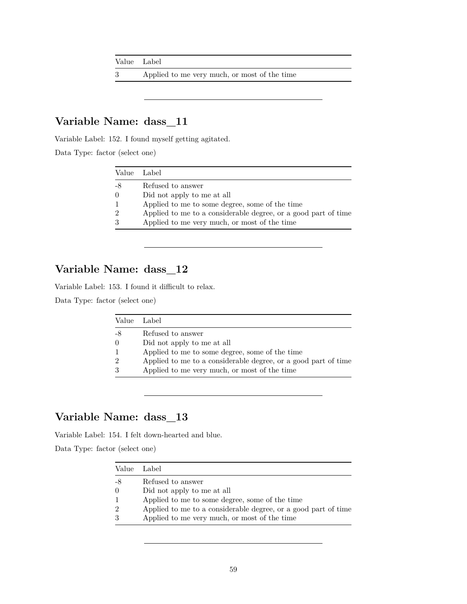| Value Label |                                              |
|-------------|----------------------------------------------|
|             | Applied to me very much, or most of the time |

Variable Label: 152. I found myself getting agitated.

Data Type: factor (select one)

|                | Value Label                                                    |
|----------------|----------------------------------------------------------------|
| -8             | Refused to answer                                              |
| $\left($       | Did not apply to me at all                                     |
| $\mathbf{1}$   | Applied to me to some degree, some of the time                 |
| $\overline{2}$ | Applied to me to a considerable degree, or a good part of time |
| 3              | Applied to me very much, or most of the time                   |

## **Variable Name: dass\_12**

Variable Label: 153. I found it difficult to relax.

Data Type: factor (select one)

| Value Label   |                                                                |
|---------------|----------------------------------------------------------------|
| -8            | Refused to answer                                              |
| $\Omega$      | Did not apply to me at all                                     |
|               | Applied to me to some degree, some of the time                 |
| $\mathcal{D}$ | Applied to me to a considerable degree, or a good part of time |
| 3             | Applied to me very much, or most of the time                   |

## **Variable Name: dass\_13**

Variable Label: 154. I felt down-hearted and blue.

|               | Value Label                                                    |
|---------------|----------------------------------------------------------------|
| -8            | Refused to answer                                              |
| $\theta$      | Did not apply to me at all                                     |
|               | Applied to me to some degree, some of the time                 |
| $\mathcal{D}$ | Applied to me to a considerable degree, or a good part of time |
| 3             | Applied to me very much, or most of the time                   |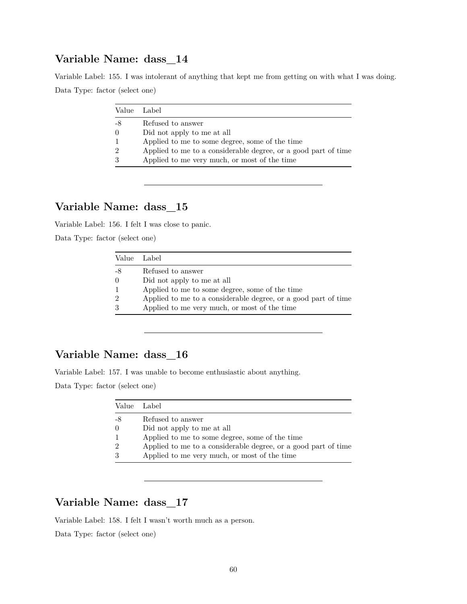Variable Label: 155. I was intolerant of anything that kept me from getting on with what I was doing. Data Type: factor (select one)

| Value         | Label                                                          |
|---------------|----------------------------------------------------------------|
| -8            | Refused to answer                                              |
| $\Omega$      | Did not apply to me at all                                     |
|               | Applied to me to some degree, some of the time                 |
| $\mathcal{D}$ | Applied to me to a considerable degree, or a good part of time |
| $\mathcal{S}$ | Applied to me very much, or most of the time                   |

### **Variable Name: dass\_15**

Variable Label: 156. I felt I was close to panic.

Data Type: factor (select one)

| Value Label   |                                                                |
|---------------|----------------------------------------------------------------|
| -8            | Refused to answer                                              |
| $\theta$      | Did not apply to me at all                                     |
|               | Applied to me to some degree, some of the time                 |
| $\mathcal{D}$ | Applied to me to a considerable degree, or a good part of time |
| 3             | Applied to me very much, or most of the time                   |

#### **Variable Name: dass\_16**

Variable Label: 157. I was unable to become enthusiastic about anything.

Data Type: factor (select one)

| Value Label   |                                                                |
|---------------|----------------------------------------------------------------|
| -8            | Refused to answer                                              |
| $\theta$      | Did not apply to me at all                                     |
|               | Applied to me to some degree, some of the time                 |
| $\mathcal{D}$ | Applied to me to a considerable degree, or a good part of time |
| 3             | Applied to me very much, or most of the time                   |

### **Variable Name: dass\_17**

Variable Label: 158. I felt I wasn't worth much as a person.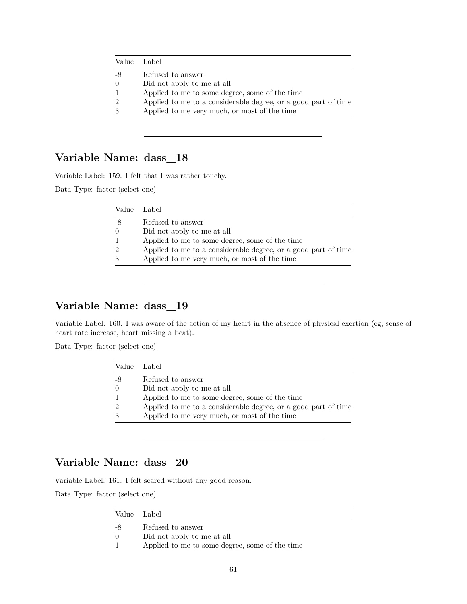|                | Value Label                                                    |  |
|----------------|----------------------------------------------------------------|--|
| -8             | Refused to answer                                              |  |
| $\theta$       | Did not apply to me at all                                     |  |
| $\mathbf{1}$   | Applied to me to some degree, some of the time                 |  |
| $\overline{2}$ | Applied to me to a considerable degree, or a good part of time |  |
| 3              | Applied to me very much, or most of the time                   |  |
|                |                                                                |  |

Variable Label: 159. I felt that I was rather touchy.

Data Type: factor (select one)

|    | Value Label                                                    |
|----|----------------------------------------------------------------|
| -8 | Refused to answer                                              |
|    | Did not apply to me at all                                     |
|    | Applied to me to some degree, some of the time                 |
|    | Applied to me to a considerable degree, or a good part of time |
|    | Applied to me very much, or most of the time                   |

#### **Variable Name: dass\_19**

Variable Label: 160. I was aware of the action of my heart in the absence of physical exertion (eg, sense of heart rate increase, heart missing a beat).

Data Type: factor (select one)

|                | Value Label                                                    |
|----------------|----------------------------------------------------------------|
| -8             | Refused to answer                                              |
| $\Omega$       | Did not apply to me at all                                     |
| $\mathbf{1}$   | Applied to me to some degree, some of the time                 |
| $\overline{2}$ | Applied to me to a considerable degree, or a good part of time |
| 3              | Applied to me very much, or most of the time                   |

## **Variable Name: dass\_20**

Variable Label: 161. I felt scared without any good reason.

|          | Value Label                                    |  |
|----------|------------------------------------------------|--|
| -8       | Refused to answer                              |  |
| $\Omega$ | Did not apply to me at all                     |  |
|          | Applied to me to some degree, some of the time |  |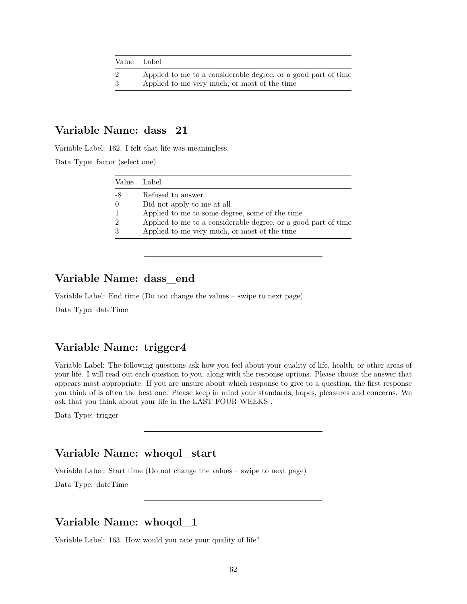| Value Label    |                                                                |
|----------------|----------------------------------------------------------------|
| $\overline{2}$ | Applied to me to a considerable degree, or a good part of time |
| 3              | Applied to me very much, or most of the time                   |

Variable Label: 162. I felt that life was meaningless.

Data Type: factor (select one)

| Value Label      |                                                                |
|------------------|----------------------------------------------------------------|
| -8               | Refused to answer                                              |
| $\left( \right)$ | Did not apply to me at all                                     |
|                  | Applied to me to some degree, some of the time                 |
| 9                | Applied to me to a considerable degree, or a good part of time |
|                  | Applied to me very much, or most of the time                   |

#### **Variable Name: dass\_end**

Variable Label: End time (Do not change the values – swipe to next page)

Data Type: dateTime

#### **Variable Name: trigger4**

Variable Label: The following questions ask how you feel about your quality of life, health, or other areas of your life. I will read out each question to you, along with the response options. Please choose the answer that appears most appropriate. If you are unsure about which response to give to a question, the first response you think of is often the best one. Please keep in mind your standards, hopes, pleasures and concerns. We ask that you think about your life in the LAST FOUR WEEKS .

Data Type: trigger

#### **Variable Name: whoqol\_start**

Variable Label: Start time (Do not change the values – swipe to next page)

Data Type: dateTime

#### **Variable Name: whoqol\_1**

Variable Label: 163. How would you rate your quality of life?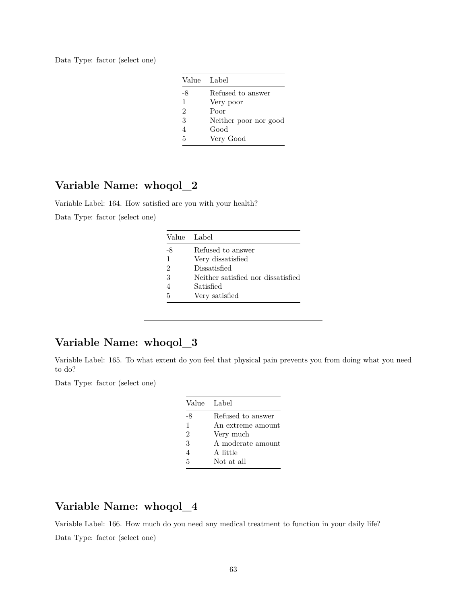Data Type: factor (select one)

|                | Value Label           |
|----------------|-----------------------|
| -8             | Refused to answer     |
| 1              | Very poor             |
| $\mathfrak{D}$ | Poor                  |
| 3              | Neither poor nor good |
| 4              | Good                  |
| 5              | Very Good             |

## **Variable Name: whoqol\_2**

Variable Label: 164. How satisfied are you with your health?

Data Type: factor (select one)

|                | Value Label                        |
|----------------|------------------------------------|
| -8             | Refused to answer                  |
| 1              | Very dissatisfied                  |
| $\mathfrak{D}$ | Dissatisfied                       |
| 3              | Neither satisfied nor dissatisfied |
|                | Satisfied                          |
| 5              | Very satisfied                     |

## **Variable Name: whoqol\_3**

Variable Label: 165. To what extent do you feel that physical pain prevents you from doing what you need to do?

Data Type: factor (select one)

| Value Label   |                   |
|---------------|-------------------|
| -8            | Refused to answer |
| $\mathbf{1}$  | An extreme amount |
| $\mathcal{D}$ | Very much         |
| 3             | A moderate amount |
| 4             | A little          |
| 5             | Not at all        |
|               |                   |

## **Variable Name: whoqol\_4**

Variable Label: 166. How much do you need any medical treatment to function in your daily life? Data Type: factor (select one)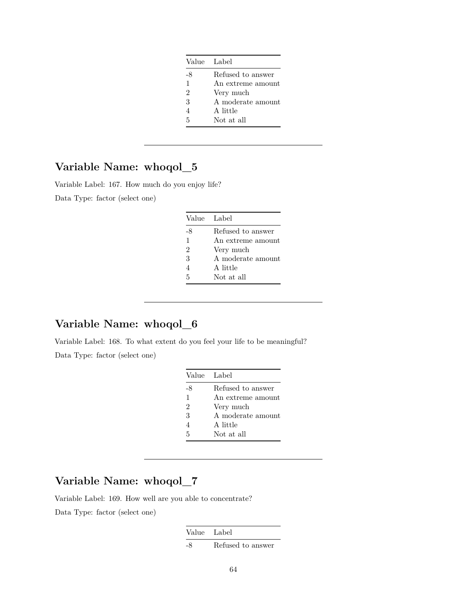| Value Label   |                   |
|---------------|-------------------|
| -8            | Refused to answer |
| $\mathbf{1}$  | An extreme amount |
| $\mathcal{D}$ | Very much         |
| 3             | A moderate amount |
|               | A little          |
| 5             | Not at all        |

Variable Label: 167. How much do you enjoy life? Data Type: factor (select one)

| Value Label    |                   |
|----------------|-------------------|
| -8             | Refused to answer |
| $\mathbf{1}$   | An extreme amount |
| $\mathfrak{D}$ | Very much         |
| 3              | A moderate amount |
| 4              | A little          |
| 5              | Not at all        |

## **Variable Name: whoqol\_6**

Variable Label: 168. To what extent do you feel your life to be meaningful? Data Type: factor (select one)

| Value Label    |                   |
|----------------|-------------------|
| -8             | Refused to answer |
| 1              | An extreme amount |
| $\overline{2}$ | Very much         |
| 3              | A moderate amount |
| 4              | A little          |
| 5              | Not at all        |

## **Variable Name: whoqol\_7**

Variable Label: 169. How well are you able to concentrate?

Data Type: factor (select one)

Value Label

-8 Refused to answer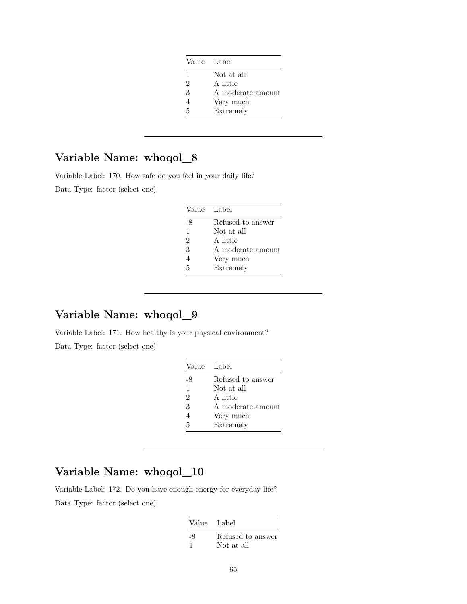| Value Label       |
|-------------------|
| Not at all        |
| A little          |
| A moderate amount |
| Very much         |
| Extremely         |
|                   |

Variable Label: 170. How safe do you feel in your daily life?

Data Type: factor (select one)

| Value Label    |                   |
|----------------|-------------------|
| -8             | Refused to answer |
| 1              | Not at all        |
| $\overline{2}$ | A little          |
| 3              | A moderate amount |
| $\overline{4}$ | Very much         |
| 5              | Extremely         |

## **Variable Name: whoqol\_9**

Variable Label: 171. How healthy is your physical environment? Data Type: factor (select one)

| Value Label    |                   |
|----------------|-------------------|
| -8             | Refused to answer |
| $\mathbf{1}$   | Not at all        |
| $\mathfrak{D}$ | A little          |
| 3              | A moderate amount |
| 4              | Very much         |
| 5              | Extremely         |

## **Variable Name: whoqol\_10**

Variable Label: 172. Do you have enough energy for everyday life? Data Type: factor (select one)

| Value Label |                   |
|-------------|-------------------|
| -8          | Refused to answer |
|             | Not at all        |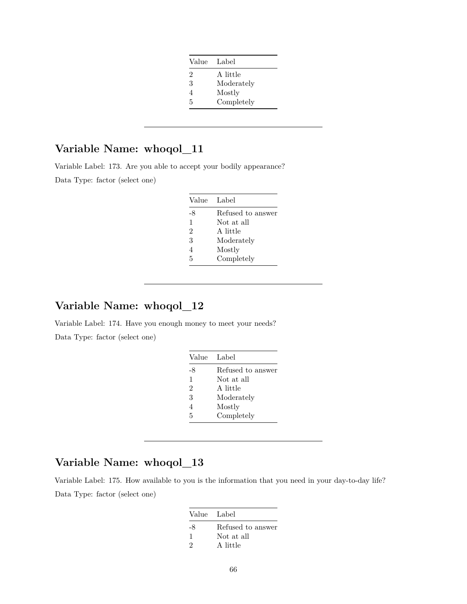| Value | Label      |
|-------|------------|
| 2     | A little   |
| 3     | Moderately |
| 4     | Mostly     |
| 5     | Completely |

Variable Label: 173. Are you able to accept your bodily appearance?

Data Type: factor (select one)

| Value          | Label             |
|----------------|-------------------|
| -8             | Refused to answer |
| $\mathbf{1}$   | Not at all        |
| $\overline{2}$ | A little          |
| 3              | Moderately        |
| $\overline{4}$ | Mostly            |
| 5              | Completely        |

# **Variable Name: whoqol\_12**

Variable Label: 174. Have you enough money to meet your needs? Data Type: factor (select one)

| Value          | Label             |
|----------------|-------------------|
| -8             | Refused to answer |
| 1              | Not at all        |
| $\overline{2}$ | A little          |
| 3              | Moderately        |
| 4              | Mostly            |
| 5              | Completely        |

## **Variable Name: whoqol\_13**

Variable Label: 175. How available to you is the information that you need in your day-to-day life? Data Type: factor (select one)

| Value Label |                   |
|-------------|-------------------|
| -8          | Refused to answer |
| -1          | Not at all        |
| $\cdot$     | A little          |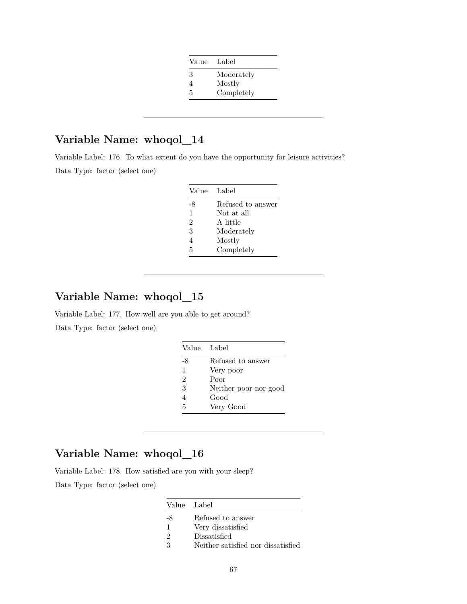| Value | Label      |
|-------|------------|
| 3     | Moderately |
| 4     | Mostly     |
| 5     | Completely |

Variable Label: 176. To what extent do you have the opportunity for leisure activities? Data Type: factor (select one)

| Value Label    |                   |
|----------------|-------------------|
| -8             | Refused to answer |
| 1              | Not at all        |
| $\overline{2}$ | A little          |
| 3              | Moderately        |
| 4              | Mostly            |
| 5              | Completely        |

#### **Variable Name: whoqol\_15**

Variable Label: 177. How well are you able to get around? Data Type: factor (select one)

| Value Label    |                       |
|----------------|-----------------------|
| -8             | Refused to answer     |
| $\mathbf{1}$   | Very poor             |
| $\mathfrak{D}$ | Poor                  |
| 3              | Neither poor nor good |
| Δ              | Good                  |
| 5              | Very Good             |

#### **Variable Name: whoqol\_16**

Variable Label: 178. How satisfied are you with your sleep?

|    | Value Label                        |
|----|------------------------------------|
| -8 | Refused to answer                  |
| 1  | Very dissatisfied                  |
| 9  | Dissatisfied                       |
| ર  | Neither satisfied nor dissatisfied |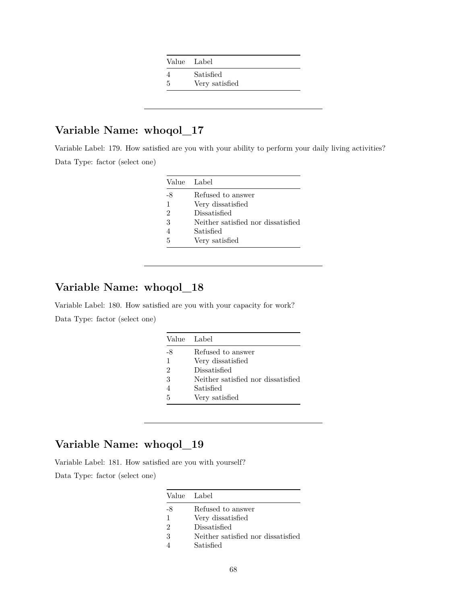4 Satisfied

5 Very satisfied

## **Variable Name: whoqol\_17**

Variable Label: 179. How satisfied are you with your ability to perform your daily living activities? Data Type: factor (select one)

|                | Value Label                        |
|----------------|------------------------------------|
| -8             | Refused to answer                  |
| 1              | Very dissatisfied                  |
| $\mathfrak{D}$ | Dissatisfied                       |
| 3              | Neither satisfied nor dissatisfied |
| 4              | Satisfied                          |
| 5              | Very satisfied                     |

## **Variable Name: whoqol\_18**

Variable Label: 180. How satisfied are you with your capacity for work? Data Type: factor (select one)

| Value Label                        |
|------------------------------------|
| Refused to answer                  |
| Very dissatisfied                  |
| Dissatisfied                       |
| Neither satisfied nor dissatisfied |
| Satisfied                          |
| Very satisfied                     |
|                                    |

### **Variable Name: whoqol\_19**

Variable Label: 181. How satisfied are you with yourself?

| Value Label |                                    |
|-------------|------------------------------------|
| -8          | Refused to answer                  |
| 1           | Very dissatisfied                  |
| 2           | Dissatisfied                       |
| 3           | Neither satisfied nor dissatisfied |
|             | Satisfied                          |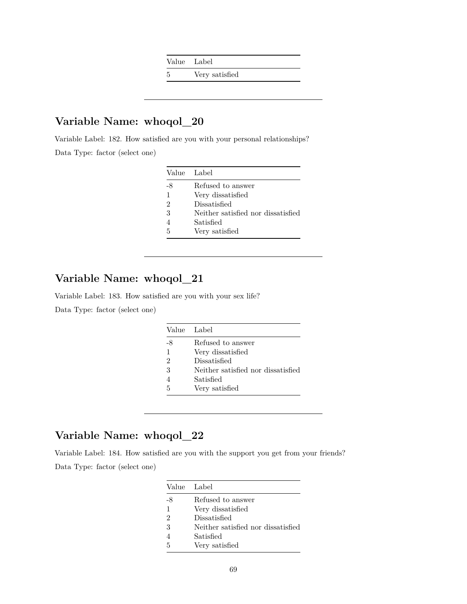Value Label

5 Very satisfied

# **Variable Name: whoqol\_20**

Variable Label: 182. How satisfied are you with your personal relationships? Data Type: factor (select one)

|                | Value Label                        |
|----------------|------------------------------------|
| -8             | Refused to answer                  |
| 1              | Very dissatisfied                  |
| $\mathfrak{D}$ | Dissatisfied                       |
| 3              | Neither satisfied nor dissatisfied |
| 4              | Satisfied                          |
| 5              | Very satisfied                     |

## **Variable Name: whoqol\_21**

Variable Label: 183. How satisfied are you with your sex life?

Data Type: factor (select one)

|    | Value Label                        |
|----|------------------------------------|
| -8 | Refused to answer                  |
| 1  | Very dissatisfied                  |
| 2  | Dissatisfied                       |
| 3  | Neither satisfied nor dissatisfied |
|    | Satisfied                          |
| 5  | Very satisfied                     |

# **Variable Name: whoqol\_22**

Variable Label: 184. How satisfied are you with the support you get from your friends? Data Type: factor (select one)

|    | Value Label                        |
|----|------------------------------------|
| -8 | Refused to answer                  |
| 1  | Very dissatisfied                  |
| 2  | Dissatisfied                       |
| 3  | Neither satisfied nor dissatisfied |
|    | Satisfied                          |
| 5  | Very satisfied                     |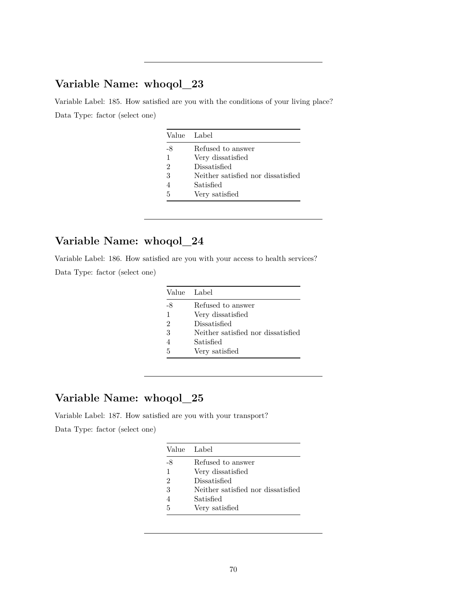Variable Label: 185. How satisfied are you with the conditions of your living place? Data Type: factor (select one)

| Value Label |                                    |
|-------------|------------------------------------|
| -8          | Refused to answer                  |
| 1           | Very dissatisfied                  |
| 2           | Dissatisfied                       |
| 3           | Neither satisfied nor dissatisfied |
| 4           | Satisfied                          |
| 5           | Very satisfied                     |

## **Variable Name: whoqol\_24**

Variable Label: 186. How satisfied are you with your access to health services?

Data Type: factor (select one)

|               | Value Label                        |
|---------------|------------------------------------|
| -8            | Refused to answer                  |
| 1             | Very dissatisfied                  |
| $\mathcal{D}$ | Dissatisfied                       |
| 3             | Neither satisfied nor dissatisfied |
|               | Satisfied                          |
| 5             | Very satisfied                     |

## **Variable Name: whoqol\_25**

Variable Label: 187. How satisfied are you with your transport?

|    | Value Label                        |
|----|------------------------------------|
| -8 | Refused to answer                  |
| 1  | Very dissatisfied                  |
| 2  | Dissatisfied                       |
| 3  | Neither satisfied nor dissatisfied |
|    | Satisfied                          |
| 5  | Very satisfied                     |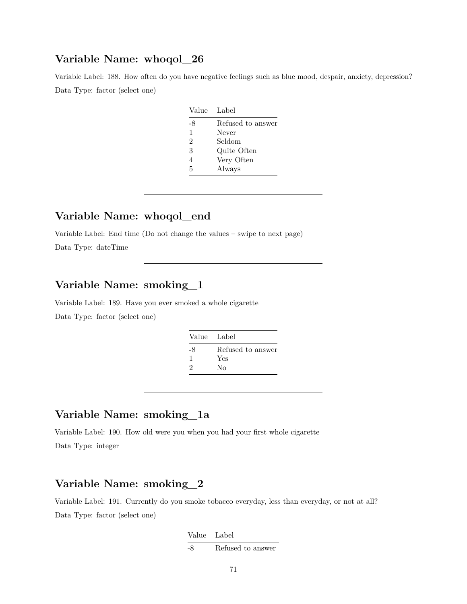Variable Label: 188. How often do you have negative feelings such as blue mood, despair, anxiety, depression? Data Type: factor (select one)

| Value          | Label             |
|----------------|-------------------|
| -8             | Refused to answer |
| 1              | Never             |
| $\overline{2}$ | Seldom            |
| 3              | Quite Often       |
| 4              | Very Often        |
| 5              | Always            |

#### **Variable Name: whoqol\_end**

Variable Label: End time (Do not change the values – swipe to next page)

Data Type: dateTime

### **Variable Name: smoking\_1**

Variable Label: 189. Have you ever smoked a whole cigarette

Data Type: factor (select one)

| Value Label |                   |
|-------------|-------------------|
| -8          | Refused to answer |
| 1           | Yes               |
| 9           | Nο                |

## **Variable Name: smoking\_1a**

Variable Label: 190. How old were you when you had your first whole cigarette Data Type: integer

## **Variable Name: smoking\_2**

Variable Label: 191. Currently do you smoke tobacco everyday, less than everyday, or not at all? Data Type: factor (select one)

| Value Label |                   |
|-------------|-------------------|
| -8          | Refused to answer |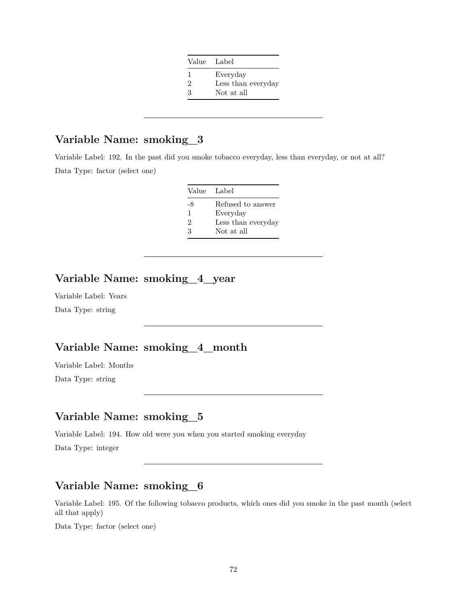| Value Label |                    |
|-------------|--------------------|
| ı           | Everyday           |
| 2           | Less than everyday |
| З           | Not at all         |

## **Variable Name: smoking\_3**

Variable Label: 192. In the past did you smoke tobacco everyday, less than everyday, or not at all? Data Type: factor (select one)

| Value Label   |                    |
|---------------|--------------------|
| -8            | Refused to answer  |
| 1             | Everyday           |
| $\mathcal{D}$ | Less than everyday |
| 3             | Not at all         |

## **Variable Name: smoking\_4\_year**

Variable Label: Years Data Type: string

## **Variable Name: smoking\_4\_month**

Variable Label: Months Data Type: string

## **Variable Name: smoking\_5**

Variable Label: 194. How old were you when you started smoking everyday

Data Type: integer

## **Variable Name: smoking\_6**

Variable Label: 195. Of the following tobacco products, which ones did you smoke in the past month (select all that apply)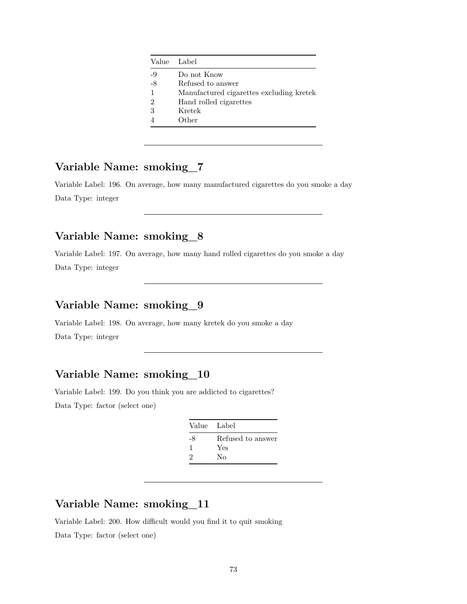| Value Label    |                                          |
|----------------|------------------------------------------|
| -9             | Do not Know                              |
| -8             | Refused to answer                        |
| $\mathbf{1}$   | Manufactured cigarettes excluding kretek |
| $\overline{2}$ | Hand rolled cigarettes                   |
| 3              | Kretek                                   |
| $\overline{4}$ | Other                                    |

### **Variable Name: smoking\_7**

Variable Label: 196. On average, how many manufactured cigarettes do you smoke a day Data Type: integer

# **Variable Name: smoking\_8**

Variable Label: 197. On average, how many hand rolled cigarettes do you smoke a day Data Type: integer

# **Variable Name: smoking\_9**

Variable Label: 198. On average, how many kretek do you smoke a day Data Type: integer

# **Variable Name: smoking\_10**

Variable Label: 199. Do you think you are addicted to cigarettes? Data Type: factor (select one)

|                             | Value Label       |
|-----------------------------|-------------------|
| -8                          | Refused to answer |
|                             | Yes               |
| $\mathcal{D}_{\mathcal{L}}$ | Nο                |

### **Variable Name: smoking\_11**

Variable Label: 200. How difficult would you find it to quit smoking Data Type: factor (select one)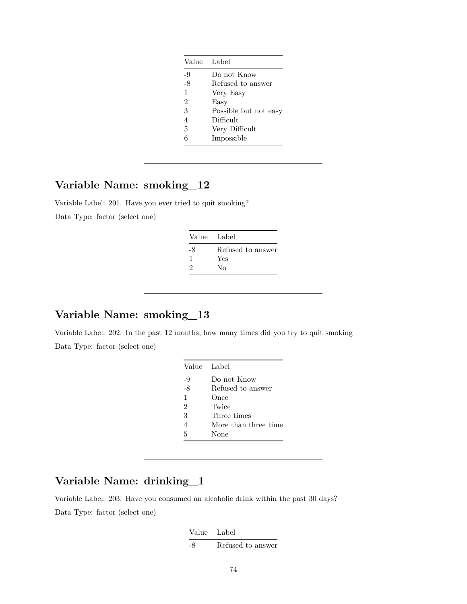| Label                 |
|-----------------------|
| Do not Know           |
| Refused to answer     |
| Very Easy             |
| Easy                  |
| Possible but not easy |
| Difficult             |
| Very Difficult        |
| Impossible            |
|                       |

## **Variable Name: smoking\_12**

Variable Label: 201. Have you ever tried to quit smoking? Data Type: factor (select one)

| Value Label |                   |
|-------------|-------------------|
| -8          | Refused to answer |
| ı           | Yes               |
| 2           | Nο                |

#### **Variable Name: smoking\_13**

Variable Label: 202. In the past 12 months, how many times did you try to quit smoking Data Type: factor (select one)

| Value Label    |                      |
|----------------|----------------------|
| -9             | Do not Know          |
| -8             | Refused to answer    |
| $\mathbf{1}$   | Once                 |
| $\overline{2}$ | Twice                |
| 3              | Three times          |
| 4              | More than three time |
| 5              | None                 |

## **Variable Name: drinking\_1**

Variable Label: 203. Have you consumed an alcoholic drink within the past 30 days? Data Type: factor (select one)

> Value Label -8 Refused to answer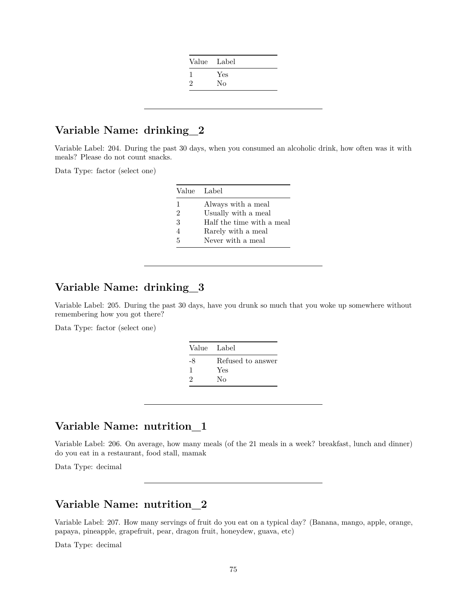|   | Value Label |
|---|-------------|
|   | Yes         |
| 2 | No          |

#### **Variable Name: drinking\_2**

Variable Label: 204. During the past 30 days, when you consumed an alcoholic drink, how often was it with meals? Please do not count snacks.

Data Type: factor (select one)

| Always with a meal        |
|---------------------------|
| Usually with a meal       |
| Half the time with a meal |
| Rarely with a meal        |
|                           |
|                           |

## **Variable Name: drinking\_3**

Variable Label: 205. During the past 30 days, have you drunk so much that you woke up somewhere without remembering how you got there?

Data Type: factor (select one)

| Refused to answer<br>-8<br>Yes |  |
|--------------------------------|--|
|                                |  |
|                                |  |
| No<br>2                        |  |

## **Variable Name: nutrition\_1**

Variable Label: 206. On average, how many meals (of the 21 meals in a week? breakfast, lunch and dinner) do you eat in a restaurant, food stall, mamak

Data Type: decimal

#### **Variable Name: nutrition\_2**

Variable Label: 207. How many servings of fruit do you eat on a typical day? (Banana, mango, apple, orange, papaya, pineapple, grapefruit, pear, dragon fruit, honeydew, guava, etc)

Data Type: decimal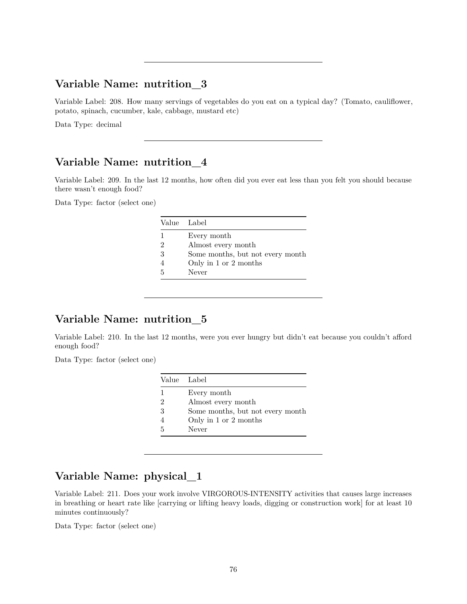#### **Variable Name: nutrition\_3**

Variable Label: 208. How many servings of vegetables do you eat on a typical day? (Tomato, cauliflower, potato, spinach, cucumber, kale, cabbage, mustard etc)

Data Type: decimal

#### **Variable Name: nutrition\_4**

Variable Label: 209. In the last 12 months, how often did you ever eat less than you felt you should because there wasn't enough food?

Data Type: factor (select one)

|   | Value Label                      |
|---|----------------------------------|
|   | Every month                      |
| 2 | Almost every month               |
| 3 | Some months, but not every month |
|   | Only in 1 or 2 months            |
| 5 | Never                            |

#### **Variable Name: nutrition\_5**

Variable Label: 210. In the last 12 months, were you ever hungry but didn't eat because you couldn't afford enough food?

Data Type: factor (select one)

| Value Label                      |
|----------------------------------|
| Every month                      |
| Almost every month               |
| Some months, but not every month |
| Only in 1 or 2 months            |
| Never                            |
|                                  |

## **Variable Name: physical\_1**

Variable Label: 211. Does your work involve VIRGOROUS-INTENSITY activities that causes large increases in breathing or heart rate like [carrying or lifting heavy loads, digging or construction work] for at least 10 minutes continuously?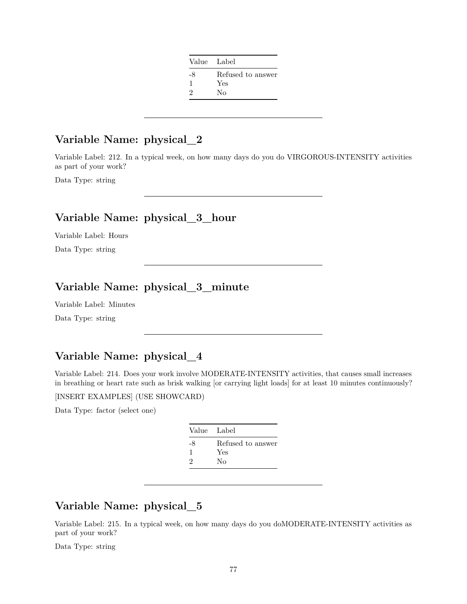| Value Label |                   |
|-------------|-------------------|
| -8          | Refused to answer |
| 1           | Yes               |
| 9           | Nο                |

# **Variable Name: physical\_2**

Variable Label: 212. In a typical week, on how many days do you do VIRGOROUS-INTENSITY activities as part of your work?

Data Type: string

## **Variable Name: physical\_3\_hour**

Variable Label: Hours Data Type: string

# **Variable Name: physical\_3\_minute**

Variable Label: Minutes

Data Type: string

# **Variable Name: physical\_4**

Variable Label: 214. Does your work involve MODERATE-INTENSITY activities, that causes small increases in breathing or heart rate such as brisk walking [or carrying light loads] for at least 10 minutes continuously?

[INSERT EXAMPLES] (USE SHOWCARD)

Data Type: factor (select one)

|    | Value Label       |
|----|-------------------|
| -8 | Refused to answer |
| ı  | Yes               |
| 9  | Nο                |

## **Variable Name: physical\_5**

Variable Label: 215. In a typical week, on how many days do you doMODERATE-INTENSITY activities as part of your work?

Data Type: string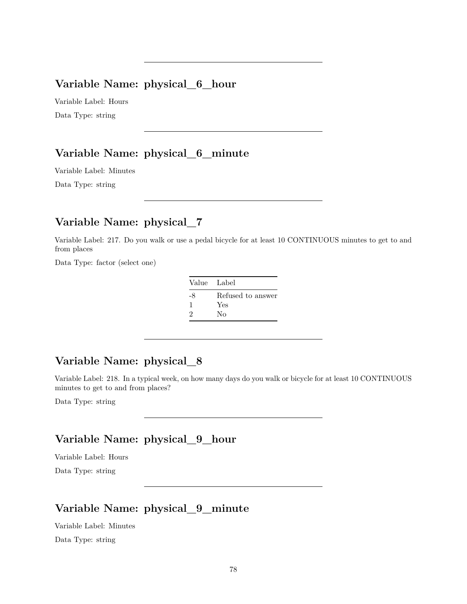#### **Variable Name: physical\_6\_hour**

Variable Label: Hours Data Type: string

## **Variable Name: physical\_6\_minute**

Variable Label: Minutes

Data Type: string

## **Variable Name: physical\_7**

Variable Label: 217. Do you walk or use a pedal bicycle for at least 10 CONTINUOUS minutes to get to and from places

Data Type: factor (select one)

| Value Label |                          |
|-------------|--------------------------|
| -8<br>1     | Refused to answer<br>Yes |
| 2           | Nο                       |

## **Variable Name: physical\_8**

Variable Label: 218. In a typical week, on how many days do you walk or bicycle for at least 10 CONTINUOUS minutes to get to and from places?

Data Type: string

## **Variable Name: physical\_9\_hour**

Variable Label: Hours Data Type: string

## **Variable Name: physical\_9\_minute**

Variable Label: Minutes

Data Type: string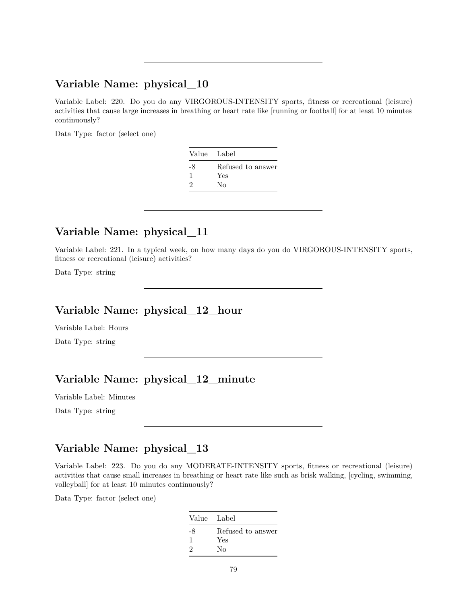#### **Variable Name: physical\_10**

Variable Label: 220. Do you do any VIRGOROUS-INTENSITY sports, fitness or recreational (leisure) activities that cause large increases in breathing or heart rate like [running or football] for at least 10 minutes continuously?

Data Type: factor (select one)

| Value Label |                   |
|-------------|-------------------|
| -8          | Refused to answer |
| ı           | Yes               |
| 9           | Nο                |

## **Variable Name: physical\_11**

Variable Label: 221. In a typical week, on how many days do you do VIRGOROUS-INTENSITY sports, fitness or recreational (leisure) activities?

Data Type: string

### **Variable Name: physical\_12\_hour**

Variable Label: Hours

Data Type: string

## **Variable Name: physical\_12\_minute**

Variable Label: Minutes

Data Type: string

#### **Variable Name: physical\_13**

Variable Label: 223. Do you do any MODERATE-INTENSITY sports, fitness or recreational (leisure) activities that cause small increases in breathing or heart rate like such as brisk walking, [cycling, swimming, volleyball] for at least 10 minutes continuously?

| Value Label |                   |
|-------------|-------------------|
| -8          | Refused to answer |
| 1           | Yes               |
| 2           | Nο                |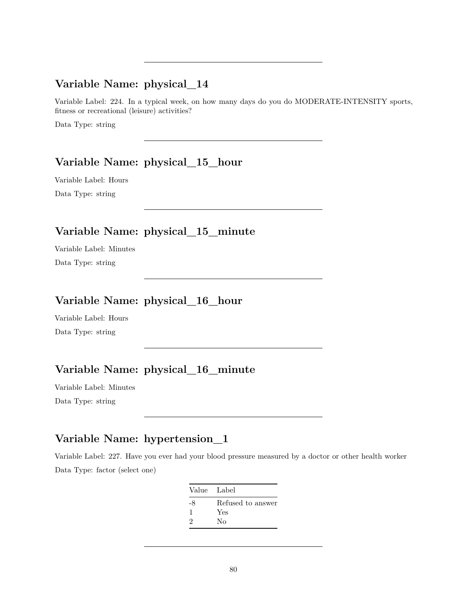#### **Variable Name: physical\_14**

Variable Label: 224. In a typical week, on how many days do you do MODERATE-INTENSITY sports, fitness or recreational (leisure) activities?

Data Type: string

## **Variable Name: physical\_15\_hour**

Variable Label: Hours Data Type: string

# **Variable Name: physical\_15\_minute**

Variable Label: Minutes Data Type: string

## **Variable Name: physical\_16\_hour**

Variable Label: Hours Data Type: string

## **Variable Name: physical\_16\_minute**

Variable Label: Minutes Data Type: string

## **Variable Name: hypertension\_1**

Variable Label: 227. Have you ever had your blood pressure measured by a doctor or other health worker Data Type: factor (select one)

> Value Label -8 Refused to answer 1 Yes 2 No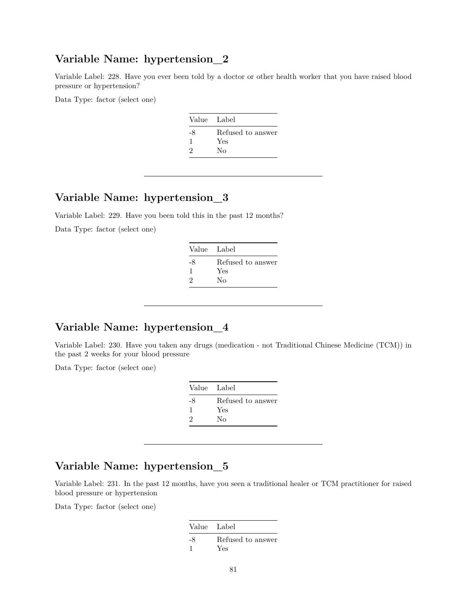#### **Variable Name: hypertension\_2**

Variable Label: 228. Have you ever been told by a doctor or other health worker that you have raised blood pressure or hypertension?

Data Type: factor (select one)

| Value Label       |
|-------------------|
| Refused to answer |
| Yes               |
| Nο                |
|                   |

## **Variable Name: hypertension\_3**

Variable Label: 229. Have you been told this in the past 12 months?

Data Type: factor (select one)

| Value Label |                   |
|-------------|-------------------|
| -8          | Refused to answer |
| ı           | Yes               |
| 2           | Nο                |
|             |                   |

#### **Variable Name: hypertension\_4**

Variable Label: 230. Have you taken any drugs (medication - not Traditional Chinese Medicine (TCM)) in the past 2 weeks for your blood pressure

Data Type: factor (select one)

| Value Label |                   |
|-------------|-------------------|
| -8          | Refused to answer |
|             | Yes               |
| 9           | Nο                |

### **Variable Name: hypertension\_5**

Variable Label: 231. In the past 12 months, have you seen a traditional healer or TCM practitioner for raised blood pressure or hypertension

| Value Label |                          |
|-------------|--------------------------|
| -8          | Refused to answer<br>Yes |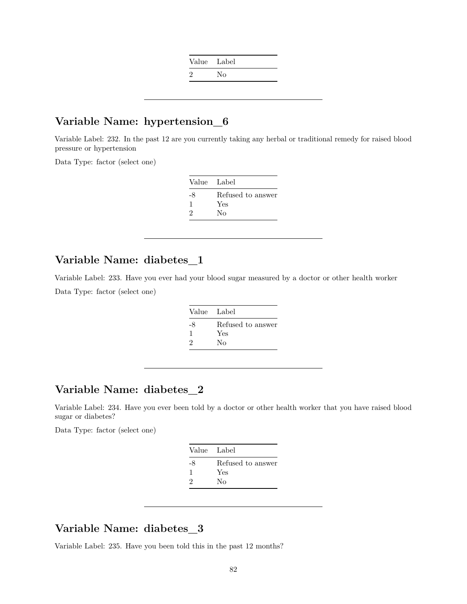| Value Label |    |
|-------------|----|
| ٠,          | Nο |

#### **Variable Name: hypertension\_6**

Variable Label: 232. In the past 12 are you currently taking any herbal or traditional remedy for raised blood pressure or hypertension

Data Type: factor (select one)

| Value Label       |
|-------------------|
| Refused to answer |
| Yes               |
| Nο                |
|                   |

#### **Variable Name: diabetes\_1**

Variable Label: 233. Have you ever had your blood sugar measured by a doctor or other health worker Data Type: factor (select one)

| Value Label |                   |
|-------------|-------------------|
| -8          | Refused to answer |
|             | Yes               |
| 9           | Nο                |

### **Variable Name: diabetes\_2**

Variable Label: 234. Have you ever been told by a doctor or other health worker that you have raised blood sugar or diabetes?

Data Type: factor (select one)

| Value Label |                   |
|-------------|-------------------|
| -8          | Refused to answer |
| J.          | Yes               |
| 2           | Nο                |
|             |                   |

### **Variable Name: diabetes\_3**

Variable Label: 235. Have you been told this in the past 12 months?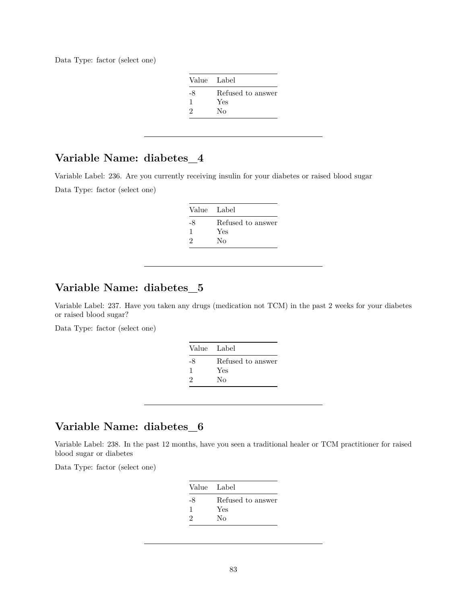Data Type: factor (select one)

| Value Label |                          |
|-------------|--------------------------|
| -8          | Refused to answer<br>Yes |
| 2           | Nο                       |

## **Variable Name: diabetes\_4**

Variable Label: 236. Are you currently receiving insulin for your diabetes or raised blood sugar Data Type: factor (select one)

| Value Label |                   |
|-------------|-------------------|
| -8          | Refused to answer |
| H           | Yes               |
| 2           | Nο                |

## **Variable Name: diabetes\_5**

Variable Label: 237. Have you taken any drugs (medication not TCM) in the past 2 weeks for your diabetes or raised blood sugar?

Data Type: factor (select one)

| Value Label |                   |
|-------------|-------------------|
| -8          | Refused to answer |
|             | Yes               |
| 2           | No                |
|             |                   |

### **Variable Name: diabetes\_6**

Variable Label: 238. In the past 12 months, have you seen a traditional healer or TCM practitioner for raised blood sugar or diabetes

| Value Label |                   |
|-------------|-------------------|
| -8          | Refused to answer |
| ı           | Yes               |
| $\Omega$    | Nο                |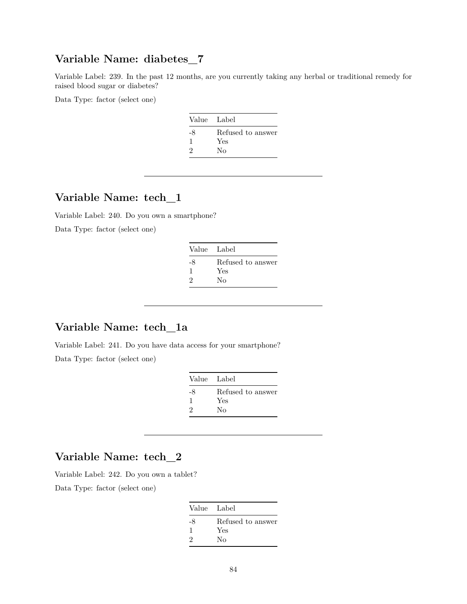## **Variable Name: diabetes\_7**

Variable Label: 239. In the past 12 months, are you currently taking any herbal or traditional remedy for raised blood sugar or diabetes?

Data Type: factor (select one)

| Value Label |                   |
|-------------|-------------------|
| -8          | Refused to answer |
| ı           | Yes               |
| 2           | Nο                |

### **Variable Name: tech\_1**

Variable Label: 240. Do you own a smartphone?

Data Type: factor (select one)

| Value Label |                   |
|-------------|-------------------|
| -8          | Refused to answer |
| 1           | Yes               |
| 2           | Nο                |

#### **Variable Name: tech\_1a**

Variable Label: 241. Do you have data access for your smartphone?

Data Type: factor (select one)

| Value Label |                   |
|-------------|-------------------|
| -8          | Refused to answer |
| ı           | Yes               |
| 2           | Nο                |

#### **Variable Name: tech\_2**

Variable Label: 242. Do you own a tablet?

| Value Label   |                   |
|---------------|-------------------|
| -8            | Refused to answer |
| -1            | Yes               |
| $\mathcal{D}$ | Nο                |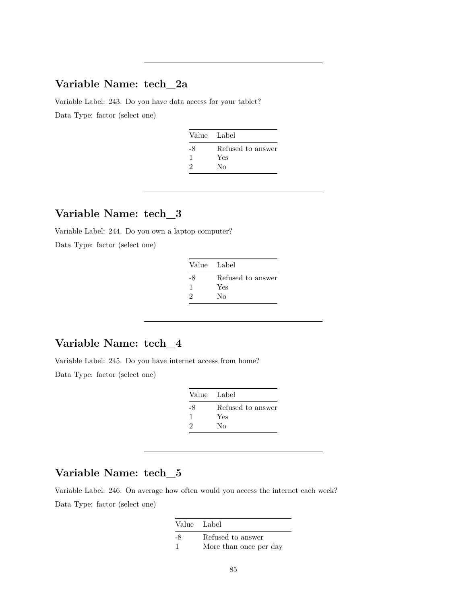### **Variable Name: tech\_2a**

Variable Label: 243. Do you have data access for your tablet? Data Type: factor (select one)

| Value Label |                   |
|-------------|-------------------|
| -8          | Refused to answer |
|             | Yes               |
| 9           | Nο                |

#### **Variable Name: tech\_3**

Variable Label: 244. Do you own a laptop computer? Data Type: factor (select one)

| Value Label |                   |
|-------------|-------------------|
| -8          | Refused to answer |
|             | Yes               |
| 9           | Nο                |

# **Variable Name: tech\_4**

Variable Label: 245. Do you have internet access from home? Data Type: factor (select one)

| Value Label   |                   |
|---------------|-------------------|
| -8            | Refused to answer |
|               | Yes               |
| $\mathcal{D}$ | Nο                |

### **Variable Name: tech\_5**

Variable Label: 246. On average how often would you access the internet each week? Data Type: factor (select one)

> Value Label -8 Refused to answer 1 More than once per day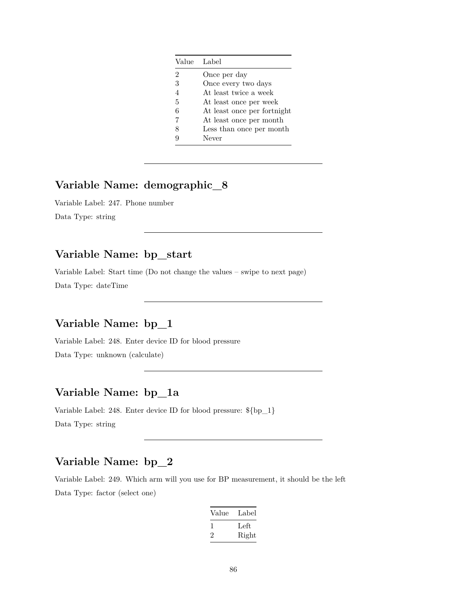|                | Value Label                 |
|----------------|-----------------------------|
| $\overline{2}$ | Once per day                |
| 3              | Once every two days         |
| 4              | At least twice a week       |
| 5              | At least once per week      |
| 6              | At least once per fortnight |
| 7              | At least once per month     |
| 8              | Less than once per month    |
|                | Never                       |

## **Variable Name: demographic\_8**

Variable Label: 247. Phone number Data Type: string

## **Variable Name: bp\_start**

Variable Label: Start time (Do not change the values – swipe to next page) Data Type: dateTime

## **Variable Name: bp\_1**

Variable Label: 248. Enter device ID for blood pressure Data Type: unknown (calculate)

## **Variable Name: bp\_1a**

Variable Label: 248. Enter device ID for blood pressure: \${bp\_1} Data Type: string

## **Variable Name: bp\_2**

Variable Label: 249. Which arm will you use for BP measurement, it should be the left Data Type: factor (select one)

| Label |
|-------|
| Left  |
| Right |
|       |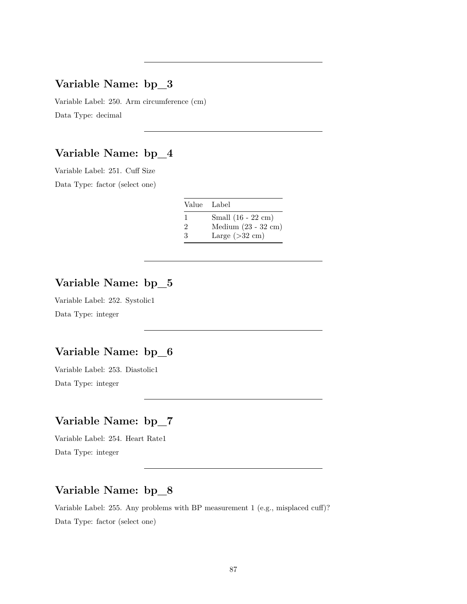#### **Variable Name: bp\_3**

Variable Label: 250. Arm circumference (cm) Data Type: decimal

# **Variable Name: bp\_4**

Variable Label: 251. Cuff Size

Data Type: factor (select one)

| Value Label    |                               |
|----------------|-------------------------------|
| -1             | Small $(16 - 22$ cm $)$       |
| $\overline{2}$ | Medium $(23 - 32 \text{ cm})$ |
| 3              | Large $(>32$ cm)              |

## **Variable Name: bp\_5**

Variable Label: 252. Systolic1 Data Type: integer

#### **Variable Name: bp\_6**

Variable Label: 253. Diastolic1 Data Type: integer

# **Variable Name: bp\_7**

Variable Label: 254. Heart Rate1 Data Type: integer

## **Variable Name: bp\_8**

Variable Label: 255. Any problems with BP measurement 1 (e.g., misplaced cuff)? Data Type: factor (select one)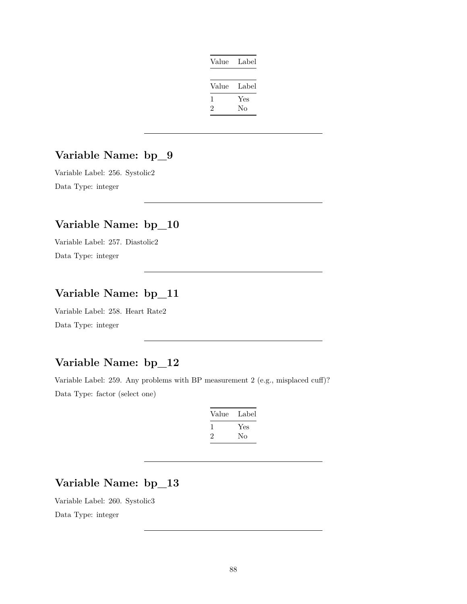| Value | Label |
|-------|-------|
|       |       |
| Value | Label |
| 1     | Yes   |
| '2    | Nο    |

## **Variable Name: bp\_9**

Variable Label: 256. Systolic2 Data Type: integer

# **Variable Name: bp\_10**

Variable Label: 257. Diastolic2 Data Type: integer

## **Variable Name: bp\_11**

Variable Label: 258. Heart Rate2 Data Type: integer

## **Variable Name: bp\_12**

Variable Label: 259. Any problems with BP measurement 2 (e.g., misplaced cuff)? Data Type: factor (select one)

| Value        | Label |
|--------------|-------|
| $\mathbf{I}$ | Yes   |
| '2           | Nο    |

### **Variable Name: bp\_13**

Variable Label: 260. Systolic3 Data Type: integer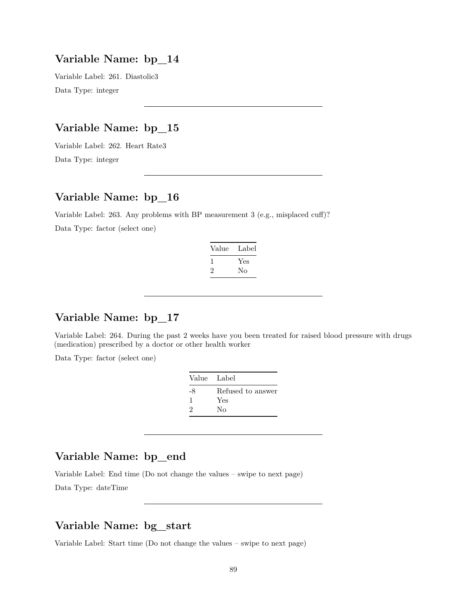#### **Variable Name: bp\_14**

Variable Label: 261. Diastolic3 Data Type: integer

## **Variable Name: bp\_15**

Variable Label: 262. Heart Rate3 Data Type: integer

## **Variable Name: bp\_16**

Variable Label: 263. Any problems with BP measurement 3 (e.g., misplaced cuff)? Data Type: factor (select one)

| Value | Label |
|-------|-------|
| 1     | Yes   |
| ۰,    | Nο    |

# **Variable Name: bp\_17**

Variable Label: 264. During the past 2 weeks have you been treated for raised blood pressure with drugs (medication) prescribed by a doctor or other health worker

Data Type: factor (select one)

| Value Label       |
|-------------------|
| Refused to answer |
| Yes               |
| No                |
|                   |

#### **Variable Name: bp\_end**

Variable Label: End time (Do not change the values – swipe to next page) Data Type: dateTime

#### **Variable Name: bg\_start**

Variable Label: Start time (Do not change the values – swipe to next page)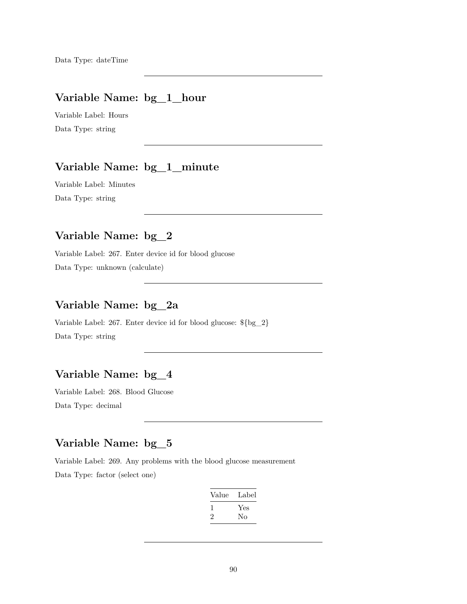#### **Variable Name: bg\_1\_hour**

Variable Label: Hours Data Type: string

# **Variable Name: bg\_1\_minute**

Variable Label: Minutes Data Type: string

## **Variable Name: bg\_2**

Variable Label: 267. Enter device id for blood glucose Data Type: unknown (calculate)

#### **Variable Name: bg\_2a**

Variable Label: 267. Enter device id for blood glucose: \${bg\_2} Data Type: string

# **Variable Name: bg\_4**

Variable Label: 268. Blood Glucose Data Type: decimal

## **Variable Name: bg\_5**

Variable Label: 269. Any problems with the blood glucose measurement Data Type: factor (select one)

| Label |
|-------|
| Yes   |
| Nο    |
|       |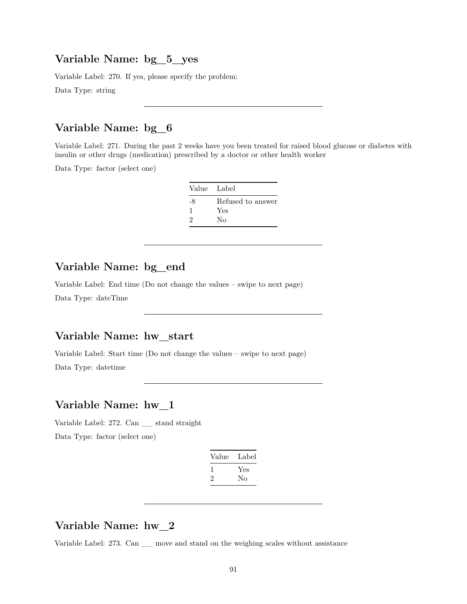#### **Variable Name: bg\_5\_yes**

Variable Label: 270. If yes, please specify the problem:

Data Type: string

# **Variable Name: bg\_6**

Variable Label: 271. During the past 2 weeks have you been treated for raised blood glucose or diabetes with insulin or other drugs (medication) prescribed by a doctor or other health worker

Data Type: factor (select one)

| Value Label |                   |
|-------------|-------------------|
| -8          | Refused to answer |
| 1           | Yes               |
| 9           | Nο                |

## **Variable Name: bg\_end**

Variable Label: End time (Do not change the values – swipe to next page) Data Type: dateTime

#### **Variable Name: hw\_start**

Variable Label: Start time (Do not change the values – swipe to next page) Data Type: datetime

#### **Variable Name: hw\_1**

Variable Label: 272. Can \_\_ stand straight Data Type: factor (select one)

| Value | Label |
|-------|-------|
|       | Yes   |
| ۰,    | No    |

#### **Variable Name: hw\_2**

Variable Label: 273. Can \_\_ move and stand on the weighing scales without assistance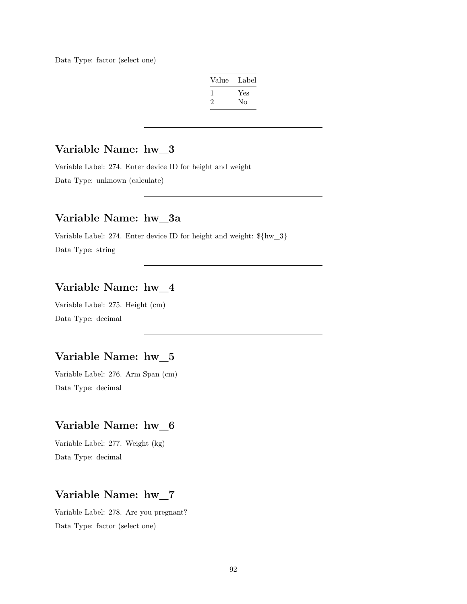Data Type: factor (select one)

| Value | Label |
|-------|-------|
| 1     | Yes   |
| 2     | Nο    |

### **Variable Name: hw\_3**

Variable Label: 274. Enter device ID for height and weight Data Type: unknown (calculate)

#### **Variable Name: hw\_3a**

Variable Label: 274. Enter device ID for height and weight: \${hw\_3} Data Type: string

### **Variable Name: hw\_4**

Variable Label: 275. Height (cm) Data Type: decimal

#### **Variable Name: hw\_5**

Variable Label: 276. Arm Span (cm) Data Type: decimal

#### **Variable Name: hw\_6**

Variable Label: 277. Weight (kg) Data Type: decimal

#### **Variable Name: hw\_7**

Variable Label: 278. Are you pregnant? Data Type: factor (select one)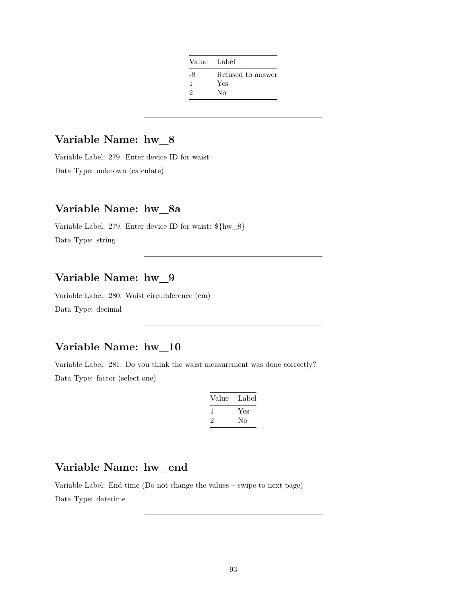| Value Label   |                   |
|---------------|-------------------|
| -8            | Refused to answer |
| 1             | Yes               |
| $\mathcal{D}$ | Nο                |

#### **Variable Name: hw\_8**

Variable Label: 279. Enter device ID for waist Data Type: unknown (calculate)

## **Variable Name: hw\_8a**

Variable Label: 279. Enter device ID for waist: \${hw\_8} Data Type: string

#### **Variable Name: hw\_9**

Variable Label: 280. Waist circumference (cm) Data Type: decimal

#### **Variable Name: hw\_10**

Variable Label: 281. Do you think the waist measurement was done correctly? Data Type: factor (select one)

| Value | Label |
|-------|-------|
|       | Yes   |
| ۰,    | Nο    |

### **Variable Name: hw\_end**

Variable Label: End time (Do not change the values – swipe to next page) Data Type: datetime